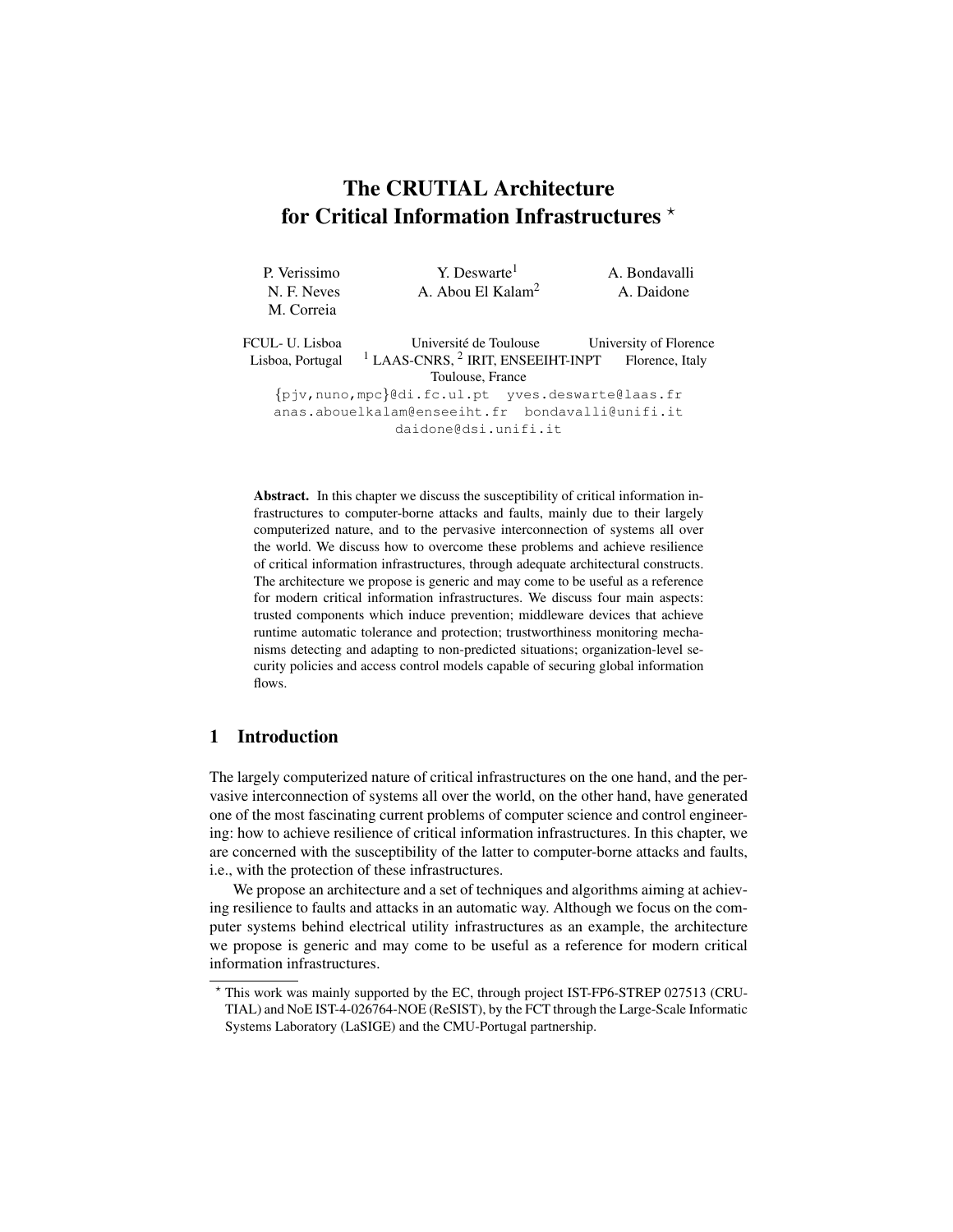# The CRUTIAL Architecture for Critical Information Infrastructures  $*$

| P. Verissimo<br>N. F. Neves<br>M. Correia | $Y.$ Deswarte <sup>1</sup><br>A. Abou El Kalam <sup>2</sup>                                                                  | A. Bondavalli<br>A. Daidone               |
|-------------------------------------------|------------------------------------------------------------------------------------------------------------------------------|-------------------------------------------|
| FCUL- U. Lisboa<br>Lisboa, Portugal       | Université de Toulouse<br>$1$ LAAS-CNRS, $2$ IRIT, ENSEEIHT-INPT<br>Toulouse, France                                         | University of Florence<br>Florence, Italy |
|                                           | {pjv,nuno,mpc}@di.fc.ul.pt yves.deswarte@laas.fr<br>anas.abouelkalam@enseeiht.fr bondavalli@unifi.it<br>daidone@dsi.unifi.it |                                           |

Abstract. In this chapter we discuss the susceptibility of critical information infrastructures to computer-borne attacks and faults, mainly due to their largely computerized nature, and to the pervasive interconnection of systems all over the world. We discuss how to overcome these problems and achieve resilience of critical information infrastructures, through adequate architectural constructs. The architecture we propose is generic and may come to be useful as a reference for modern critical information infrastructures. We discuss four main aspects: trusted components which induce prevention; middleware devices that achieve runtime automatic tolerance and protection; trustworthiness monitoring mechanisms detecting and adapting to non-predicted situations; organization-level security policies and access control models capable of securing global information flows.

# 1 Introduction

The largely computerized nature of critical infrastructures on the one hand, and the pervasive interconnection of systems all over the world, on the other hand, have generated one of the most fascinating current problems of computer science and control engineering: how to achieve resilience of critical information infrastructures. In this chapter, we are concerned with the susceptibility of the latter to computer-borne attacks and faults, i.e., with the protection of these infrastructures.

We propose an architecture and a set of techniques and algorithms aiming at achieving resilience to faults and attacks in an automatic way. Although we focus on the computer systems behind electrical utility infrastructures as an example, the architecture we propose is generic and may come to be useful as a reference for modern critical information infrastructures.

<sup>?</sup> This work was mainly supported by the EC, through project IST-FP6-STREP 027513 (CRU-TIAL) and NoE IST-4-026764-NOE (ReSIST), by the FCT through the Large-Scale Informatic Systems Laboratory (LaSIGE) and the CMU-Portugal partnership.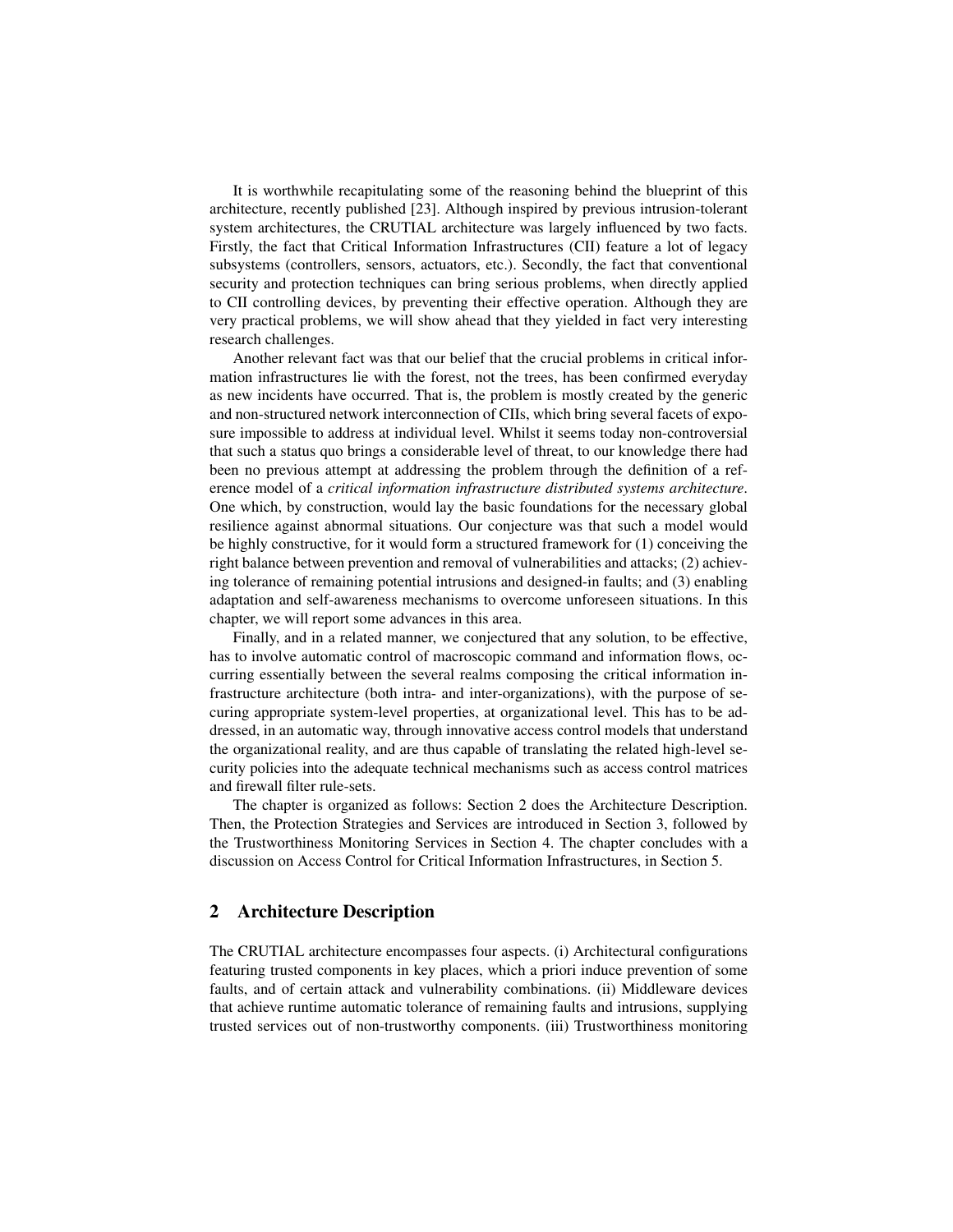It is worthwhile recapitulating some of the reasoning behind the blueprint of this architecture, recently published [23]. Although inspired by previous intrusion-tolerant system architectures, the CRUTIAL architecture was largely influenced by two facts. Firstly, the fact that Critical Information Infrastructures (CII) feature a lot of legacy subsystems (controllers, sensors, actuators, etc.). Secondly, the fact that conventional security and protection techniques can bring serious problems, when directly applied to CII controlling devices, by preventing their effective operation. Although they are very practical problems, we will show ahead that they yielded in fact very interesting research challenges.

Another relevant fact was that our belief that the crucial problems in critical information infrastructures lie with the forest, not the trees, has been confirmed everyday as new incidents have occurred. That is, the problem is mostly created by the generic and non-structured network interconnection of CIIs, which bring several facets of exposure impossible to address at individual level. Whilst it seems today non-controversial that such a status quo brings a considerable level of threat, to our knowledge there had been no previous attempt at addressing the problem through the definition of a reference model of a *critical information infrastructure distributed systems architecture*. One which, by construction, would lay the basic foundations for the necessary global resilience against abnormal situations. Our conjecture was that such a model would be highly constructive, for it would form a structured framework for (1) conceiving the right balance between prevention and removal of vulnerabilities and attacks; (2) achieving tolerance of remaining potential intrusions and designed-in faults; and (3) enabling adaptation and self-awareness mechanisms to overcome unforeseen situations. In this chapter, we will report some advances in this area.

Finally, and in a related manner, we conjectured that any solution, to be effective, has to involve automatic control of macroscopic command and information flows, occurring essentially between the several realms composing the critical information infrastructure architecture (both intra- and inter-organizations), with the purpose of securing appropriate system-level properties, at organizational level. This has to be addressed, in an automatic way, through innovative access control models that understand the organizational reality, and are thus capable of translating the related high-level security policies into the adequate technical mechanisms such as access control matrices and firewall filter rule-sets.

The chapter is organized as follows: Section 2 does the Architecture Description. Then, the Protection Strategies and Services are introduced in Section 3, followed by the Trustworthiness Monitoring Services in Section 4. The chapter concludes with a discussion on Access Control for Critical Information Infrastructures, in Section 5.

## 2 Architecture Description

The CRUTIAL architecture encompasses four aspects. (i) Architectural configurations featuring trusted components in key places, which a priori induce prevention of some faults, and of certain attack and vulnerability combinations. (ii) Middleware devices that achieve runtime automatic tolerance of remaining faults and intrusions, supplying trusted services out of non-trustworthy components. (iii) Trustworthiness monitoring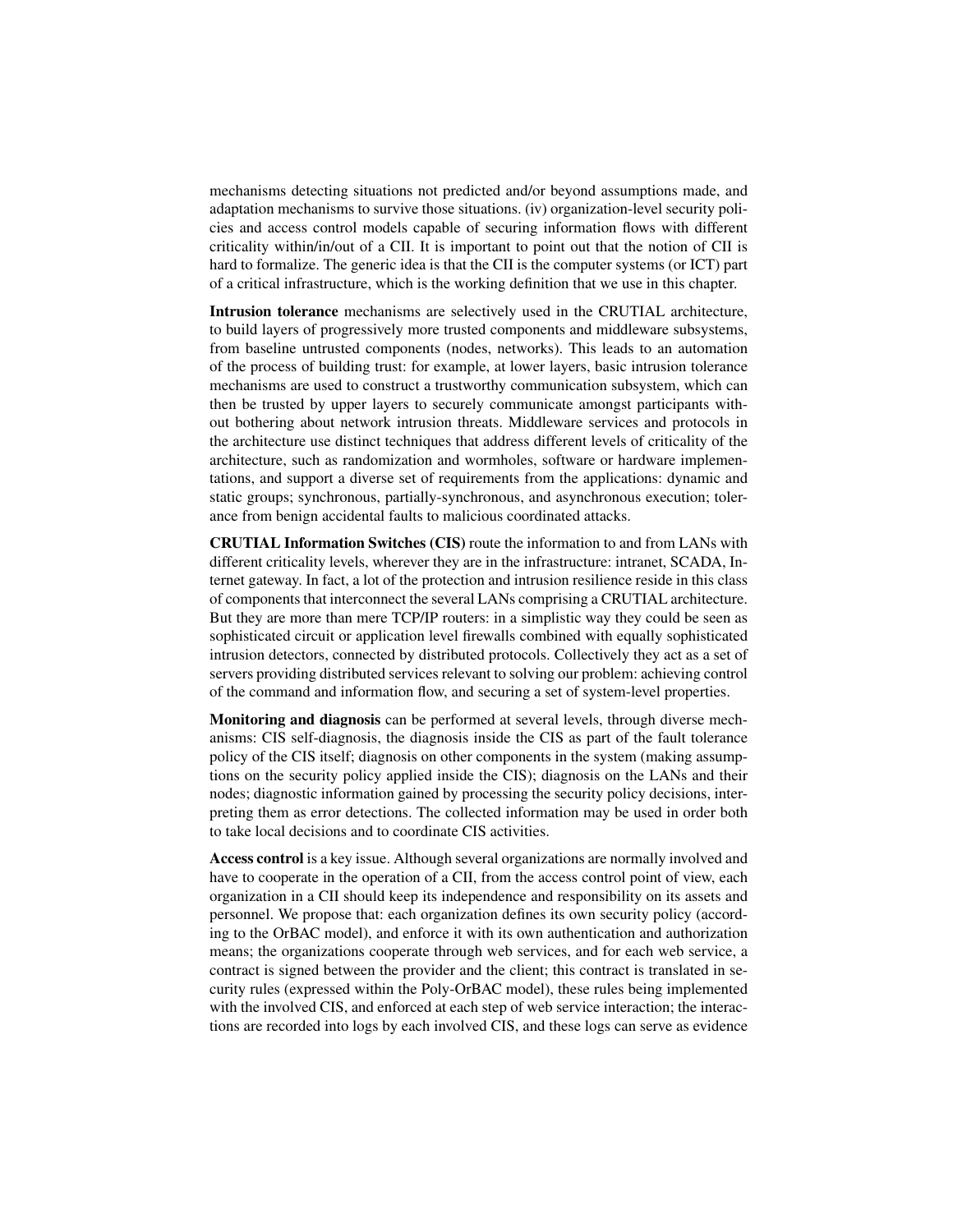mechanisms detecting situations not predicted and/or beyond assumptions made, and adaptation mechanisms to survive those situations. (iv) organization-level security policies and access control models capable of securing information flows with different criticality within/in/out of a CII. It is important to point out that the notion of CII is hard to formalize. The generic idea is that the CII is the computer systems (or ICT) part of a critical infrastructure, which is the working definition that we use in this chapter.

Intrusion tolerance mechanisms are selectively used in the CRUTIAL architecture, to build layers of progressively more trusted components and middleware subsystems, from baseline untrusted components (nodes, networks). This leads to an automation of the process of building trust: for example, at lower layers, basic intrusion tolerance mechanisms are used to construct a trustworthy communication subsystem, which can then be trusted by upper layers to securely communicate amongst participants without bothering about network intrusion threats. Middleware services and protocols in the architecture use distinct techniques that address different levels of criticality of the architecture, such as randomization and wormholes, software or hardware implementations, and support a diverse set of requirements from the applications: dynamic and static groups; synchronous, partially-synchronous, and asynchronous execution; tolerance from benign accidental faults to malicious coordinated attacks.

CRUTIAL Information Switches (CIS) route the information to and from LANs with different criticality levels, wherever they are in the infrastructure: intranet, SCADA, Internet gateway. In fact, a lot of the protection and intrusion resilience reside in this class of components that interconnect the several LANs comprising a CRUTIAL architecture. But they are more than mere TCP/IP routers: in a simplistic way they could be seen as sophisticated circuit or application level firewalls combined with equally sophisticated intrusion detectors, connected by distributed protocols. Collectively they act as a set of servers providing distributed services relevant to solving our problem: achieving control of the command and information flow, and securing a set of system-level properties.

Monitoring and diagnosis can be performed at several levels, through diverse mechanisms: CIS self-diagnosis, the diagnosis inside the CIS as part of the fault tolerance policy of the CIS itself; diagnosis on other components in the system (making assumptions on the security policy applied inside the CIS); diagnosis on the LANs and their nodes; diagnostic information gained by processing the security policy decisions, interpreting them as error detections. The collected information may be used in order both to take local decisions and to coordinate CIS activities.

Access control is a key issue. Although several organizations are normally involved and have to cooperate in the operation of a CII, from the access control point of view, each organization in a CII should keep its independence and responsibility on its assets and personnel. We propose that: each organization defines its own security policy (according to the OrBAC model), and enforce it with its own authentication and authorization means; the organizations cooperate through web services, and for each web service, a contract is signed between the provider and the client; this contract is translated in security rules (expressed within the Poly-OrBAC model), these rules being implemented with the involved CIS, and enforced at each step of web service interaction; the interactions are recorded into logs by each involved CIS, and these logs can serve as evidence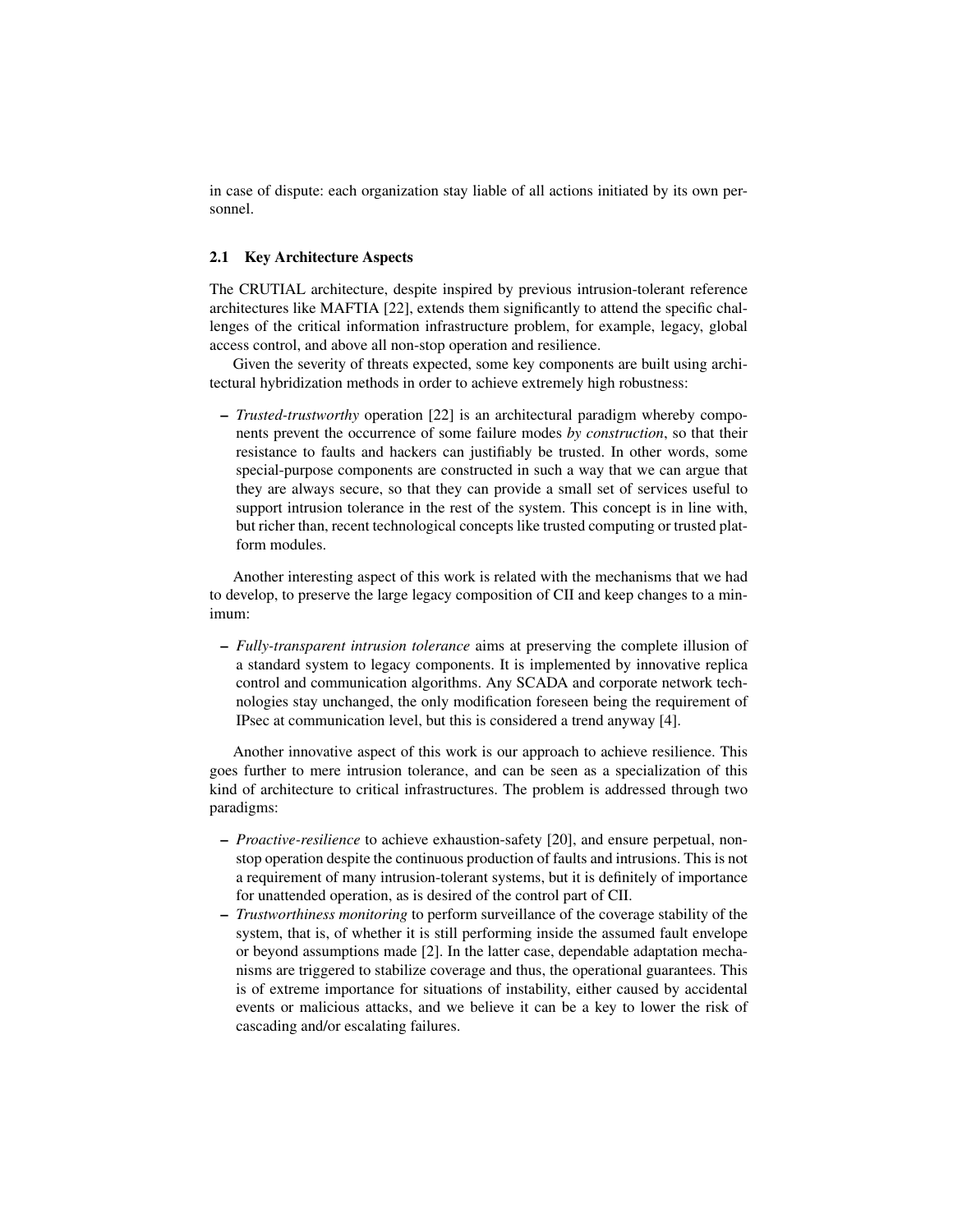in case of dispute: each organization stay liable of all actions initiated by its own personnel.

#### 2.1 Key Architecture Aspects

The CRUTIAL architecture, despite inspired by previous intrusion-tolerant reference architectures like MAFTIA [22], extends them significantly to attend the specific challenges of the critical information infrastructure problem, for example, legacy, global access control, and above all non-stop operation and resilience.

Given the severity of threats expected, some key components are built using architectural hybridization methods in order to achieve extremely high robustness:

– *Trusted-trustworthy* operation [22] is an architectural paradigm whereby components prevent the occurrence of some failure modes *by construction*, so that their resistance to faults and hackers can justifiably be trusted. In other words, some special-purpose components are constructed in such a way that we can argue that they are always secure, so that they can provide a small set of services useful to support intrusion tolerance in the rest of the system. This concept is in line with, but richer than, recent technological concepts like trusted computing or trusted platform modules.

Another interesting aspect of this work is related with the mechanisms that we had to develop, to preserve the large legacy composition of CII and keep changes to a minimum:

– *Fully-transparent intrusion tolerance* aims at preserving the complete illusion of a standard system to legacy components. It is implemented by innovative replica control and communication algorithms. Any SCADA and corporate network technologies stay unchanged, the only modification foreseen being the requirement of IPsec at communication level, but this is considered a trend anyway [4].

Another innovative aspect of this work is our approach to achieve resilience. This goes further to mere intrusion tolerance, and can be seen as a specialization of this kind of architecture to critical infrastructures. The problem is addressed through two paradigms:

- *Proactive-resilience* to achieve exhaustion-safety [20], and ensure perpetual, nonstop operation despite the continuous production of faults and intrusions. This is not a requirement of many intrusion-tolerant systems, but it is definitely of importance for unattended operation, as is desired of the control part of CII.
- *Trustworthiness monitoring* to perform surveillance of the coverage stability of the system, that is, of whether it is still performing inside the assumed fault envelope or beyond assumptions made [2]. In the latter case, dependable adaptation mechanisms are triggered to stabilize coverage and thus, the operational guarantees. This is of extreme importance for situations of instability, either caused by accidental events or malicious attacks, and we believe it can be a key to lower the risk of cascading and/or escalating failures.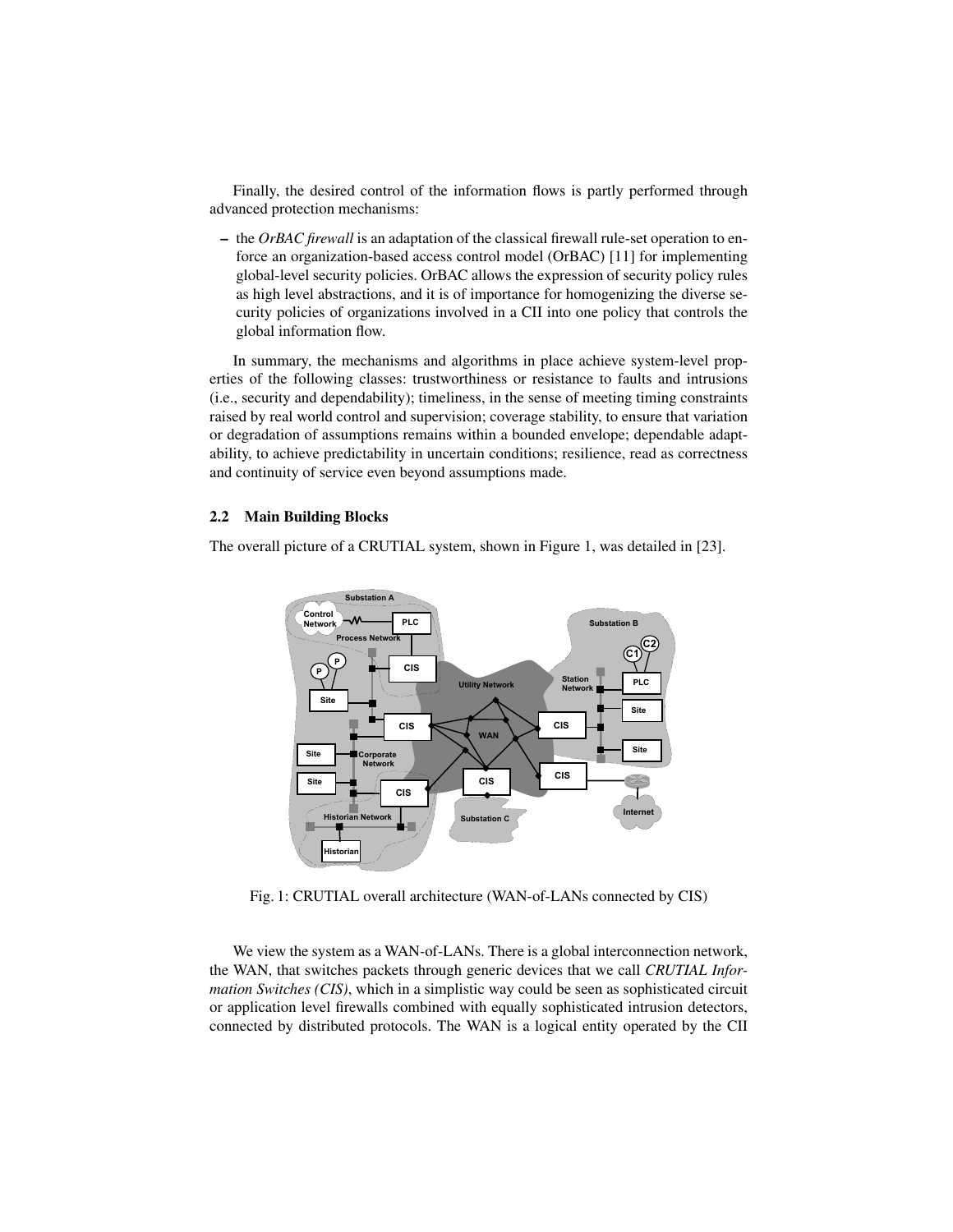Finally, the desired control of the information flows is partly performed through advanced protection mechanisms:

– the *OrBAC firewall* is an adaptation of the classical firewall rule-set operation to enforce an organization-based access control model (OrBAC) [11] for implementing global-level security policies. OrBAC allows the expression of security policy rules as high level abstractions, and it is of importance for homogenizing the diverse security policies of organizations involved in a CII into one policy that controls the global information flow.

In summary, the mechanisms and algorithms in place achieve system-level properties of the following classes: trustworthiness or resistance to faults and intrusions (i.e., security and dependability); timeliness, in the sense of meeting timing constraints raised by real world control and supervision; coverage stability, to ensure that variation or degradation of assumptions remains within a bounded envelope; dependable adaptability, to achieve predictability in uncertain conditions; resilience, read as correctness and continuity of service even beyond assumptions made.

### 2.2 Main Building Blocks

The overall picture of a CRUTIAL system, shown in Figure 1, was detailed in [23].



Fig. 1: CRUTIAL overall architecture (WAN-of-LANs connected by CIS)

We view the system as a WAN-of-LANs. There is a global interconnection network, the WAN, that switches packets through generic devices that we call *CRUTIAL Information Switches (CIS)*, which in a simplistic way could be seen as sophisticated circuit or application level firewalls combined with equally sophisticated intrusion detectors, connected by distributed protocols. The WAN is a logical entity operated by the CII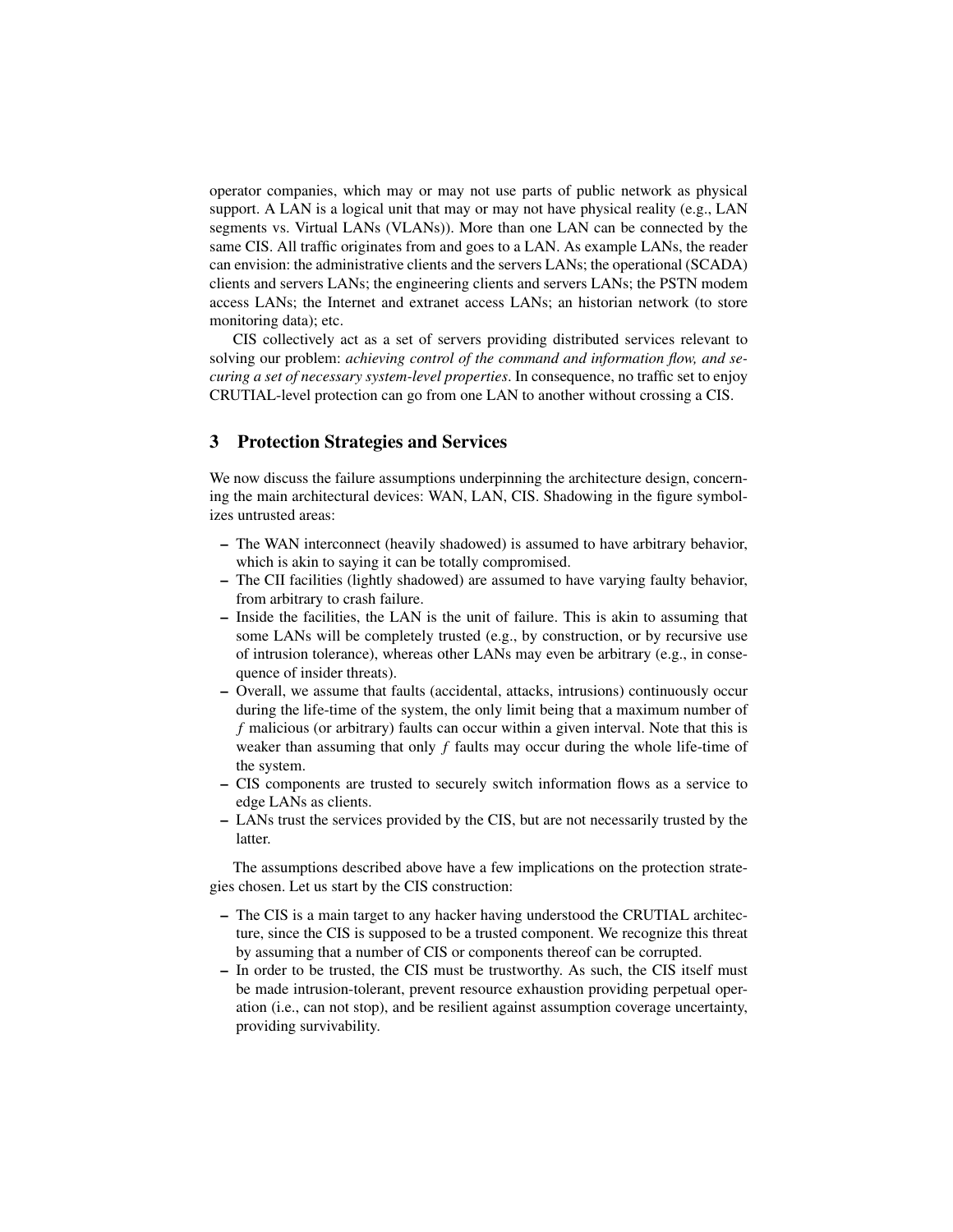operator companies, which may or may not use parts of public network as physical support. A LAN is a logical unit that may or may not have physical reality (e.g., LAN segments vs. Virtual LANs (VLANs)). More than one LAN can be connected by the same CIS. All traffic originates from and goes to a LAN. As example LANs, the reader can envision: the administrative clients and the servers LANs; the operational (SCADA) clients and servers LANs; the engineering clients and servers LANs; the PSTN modem access LANs; the Internet and extranet access LANs; an historian network (to store monitoring data); etc.

CIS collectively act as a set of servers providing distributed services relevant to solving our problem: *achieving control of the command and information flow, and securing a set of necessary system-level properties*. In consequence, no traffic set to enjoy CRUTIAL-level protection can go from one LAN to another without crossing a CIS.

## 3 Protection Strategies and Services

We now discuss the failure assumptions underpinning the architecture design, concerning the main architectural devices: WAN, LAN, CIS. Shadowing in the figure symbolizes untrusted areas:

- The WAN interconnect (heavily shadowed) is assumed to have arbitrary behavior, which is akin to saying it can be totally compromised.
- The CII facilities (lightly shadowed) are assumed to have varying faulty behavior, from arbitrary to crash failure.
- Inside the facilities, the LAN is the unit of failure. This is akin to assuming that some LANs will be completely trusted (e.g., by construction, or by recursive use of intrusion tolerance), whereas other LANs may even be arbitrary (e.g., in consequence of insider threats).
- Overall, we assume that faults (accidental, attacks, intrusions) continuously occur during the life-time of the system, the only limit being that a maximum number of *f* malicious (or arbitrary) faults can occur within a given interval. Note that this is weaker than assuming that only *f* faults may occur during the whole life-time of the system.
- CIS components are trusted to securely switch information flows as a service to edge LANs as clients.
- LANs trust the services provided by the CIS, but are not necessarily trusted by the latter.

The assumptions described above have a few implications on the protection strategies chosen. Let us start by the CIS construction:

- The CIS is a main target to any hacker having understood the CRUTIAL architecture, since the CIS is supposed to be a trusted component. We recognize this threat by assuming that a number of CIS or components thereof can be corrupted.
- In order to be trusted, the CIS must be trustworthy. As such, the CIS itself must be made intrusion-tolerant, prevent resource exhaustion providing perpetual operation (i.e., can not stop), and be resilient against assumption coverage uncertainty, providing survivability.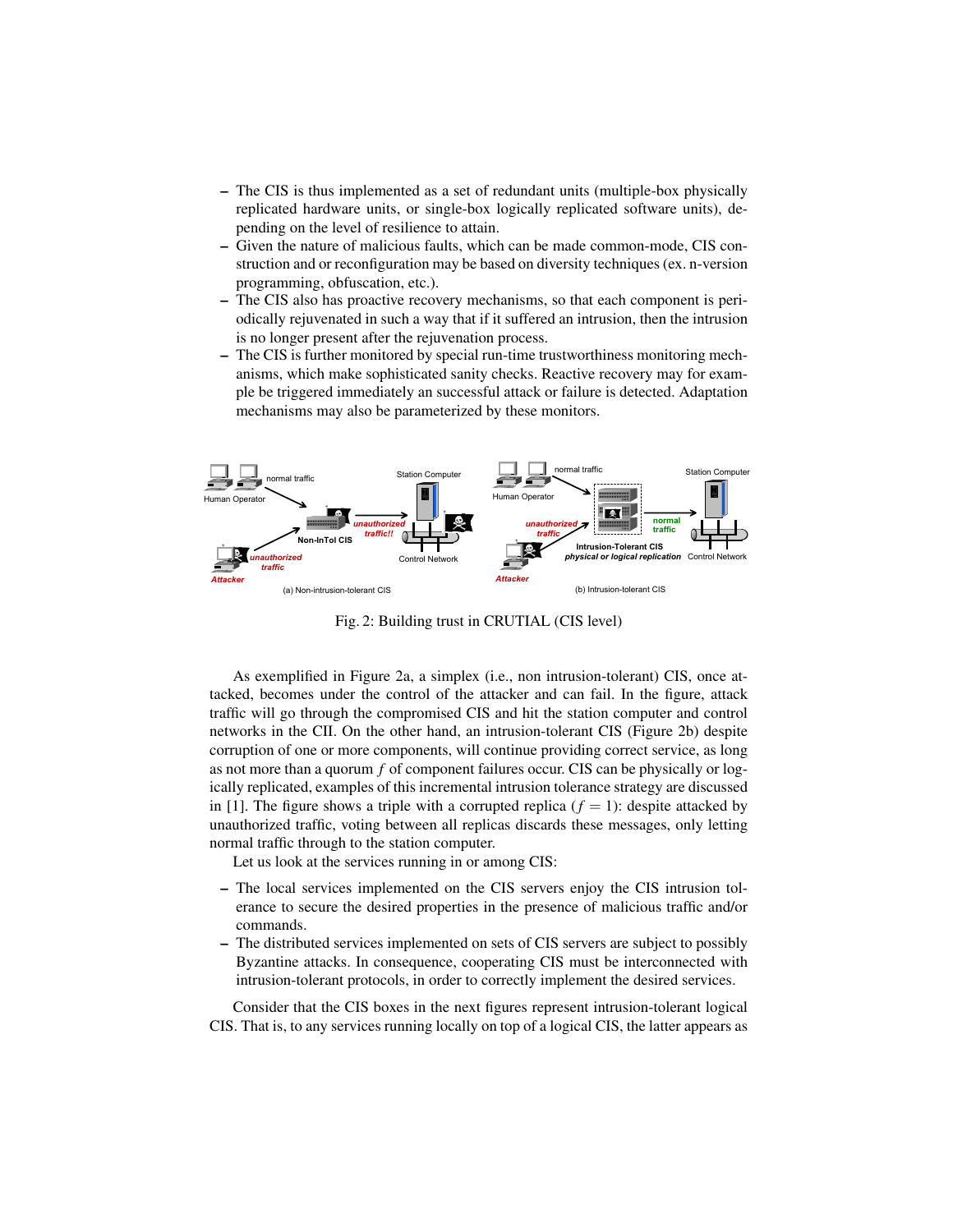- The CIS is thus implemented as a set of redundant units (multiple-box physically replicated hardware units, or single-box logically replicated software units), depending on the level of resilience to attain.
- Given the nature of malicious faults, which can be made common-mode, CIS construction and or reconfiguration may be based on diversity techniques (ex. n-version programming, obfuscation, etc.).
- The CIS also has proactive recovery mechanisms, so that each component is periodically rejuvenated in such a way that if it suffered an intrusion, then the intrusion is no longer present after the rejuvenation process.
- The CIS is further monitored by special run-time trustworthiness monitoring mechanisms, which make sophisticated sanity checks. Reactive recovery may for example be triggered immediately an successful attack or failure is detected. Adaptation mechanisms may also be parameterized by these monitors.



Fig. 2: Building trust in CRUTIAL (CIS level)

As exemplified in Figure 2a, a simplex (i.e., non intrusion-tolerant) CIS, once attacked, becomes under the control of the attacker and can fail. In the figure, attack traffic will go through the compromised CIS and hit the station computer and control networks in the CII. On the other hand, an intrusion-tolerant CIS (Figure 2b) despite corruption of one or more components, will continue providing correct service, as long as not more than a quorum *f* of component failures occur. CIS can be physically or logically replicated, examples of this incremental intrusion tolerance strategy are discussed in [1]. The figure shows a triple with a corrupted replica  $(f = 1)$ : despite attacked by unauthorized traffic, voting between all replicas discards these messages, only letting normal traffic through to the station computer.

Let us look at the services running in or among CIS:

- The local services implemented on the CIS servers enjoy the CIS intrusion tolerance to secure the desired properties in the presence of malicious traffic and/or commands.
- The distributed services implemented on sets of CIS servers are subject to possibly Byzantine attacks. In consequence, cooperating CIS must be interconnected with intrusion-tolerant protocols, in order to correctly implement the desired services.

Consider that the CIS boxes in the next figures represent intrusion-tolerant logical CIS. That is, to any services running locally on top of a logical CIS, the latter appears as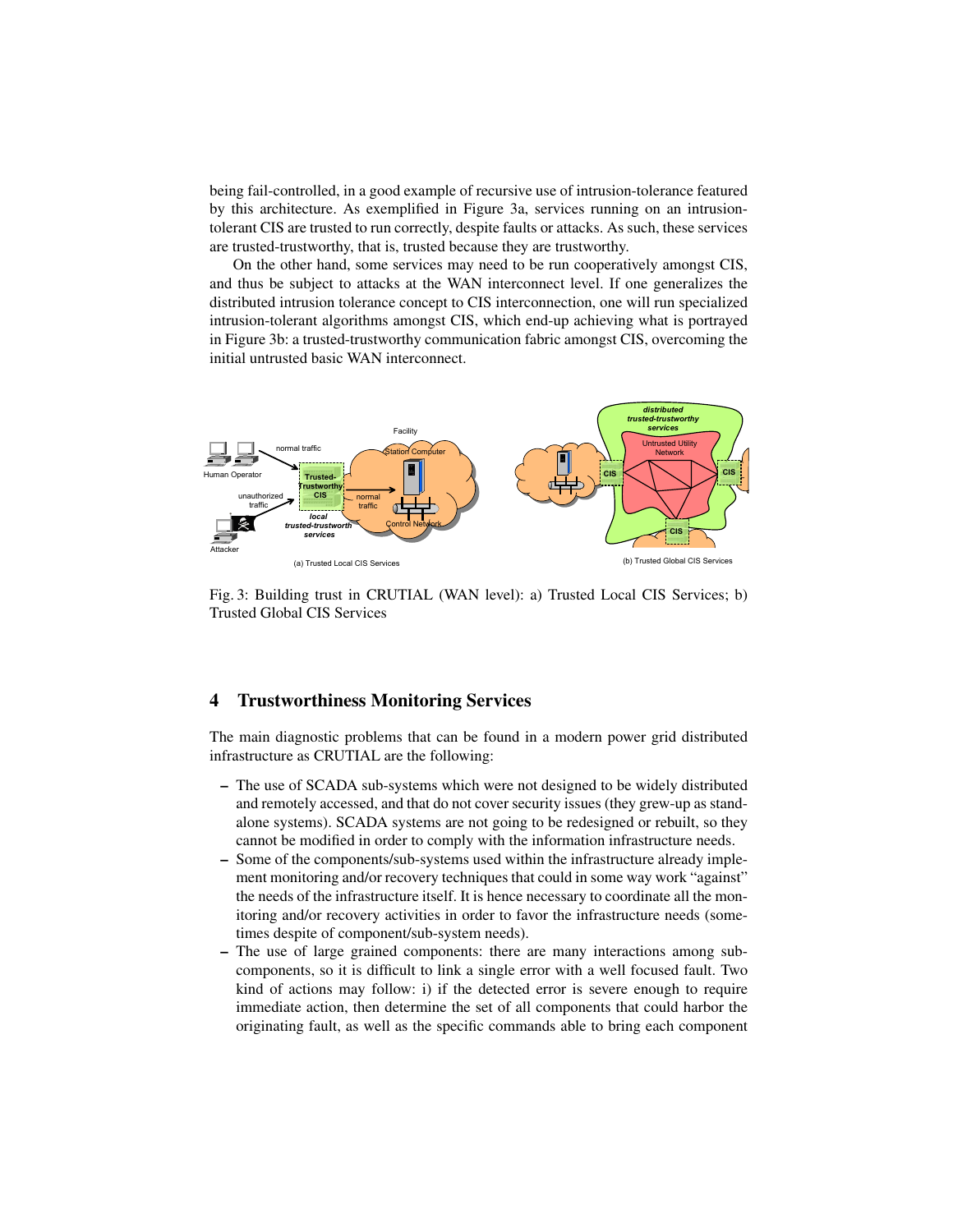being fail-controlled, in a good example of recursive use of intrusion-tolerance featured by this architecture. As exemplified in Figure 3a, services running on an intrusiontolerant CIS are trusted to run correctly, despite faults or attacks. As such, these services are trusted-trustworthy, that is, trusted because they are trustworthy.

On the other hand, some services may need to be run cooperatively amongst CIS, and thus be subject to attacks at the WAN interconnect level. If one generalizes the distributed intrusion tolerance concept to CIS interconnection, one will run specialized intrusion-tolerant algorithms amongst CIS, which end-up achieving what is portrayed in Figure 3b: a trusted-trustworthy communication fabric amongst CIS, overcoming the initial untrusted basic WAN interconnect.



Fig. 3: Building trust in CRUTIAL (WAN level): a) Trusted Local CIS Services; b) Trusted Global CIS Services

# 4 Trustworthiness Monitoring Services

The main diagnostic problems that can be found in a modern power grid distributed infrastructure as CRUTIAL are the following:

- The use of SCADA sub-systems which were not designed to be widely distributed and remotely accessed, and that do not cover security issues (they grew-up as standalone systems). SCADA systems are not going to be redesigned or rebuilt, so they cannot be modified in order to comply with the information infrastructure needs.
- Some of the components/sub-systems used within the infrastructure already implement monitoring and/or recovery techniques that could in some way work "against" the needs of the infrastructure itself. It is hence necessary to coordinate all the monitoring and/or recovery activities in order to favor the infrastructure needs (sometimes despite of component/sub-system needs).
- The use of large grained components: there are many interactions among subcomponents, so it is difficult to link a single error with a well focused fault. Two kind of actions may follow: i) if the detected error is severe enough to require immediate action, then determine the set of all components that could harbor the originating fault, as well as the specific commands able to bring each component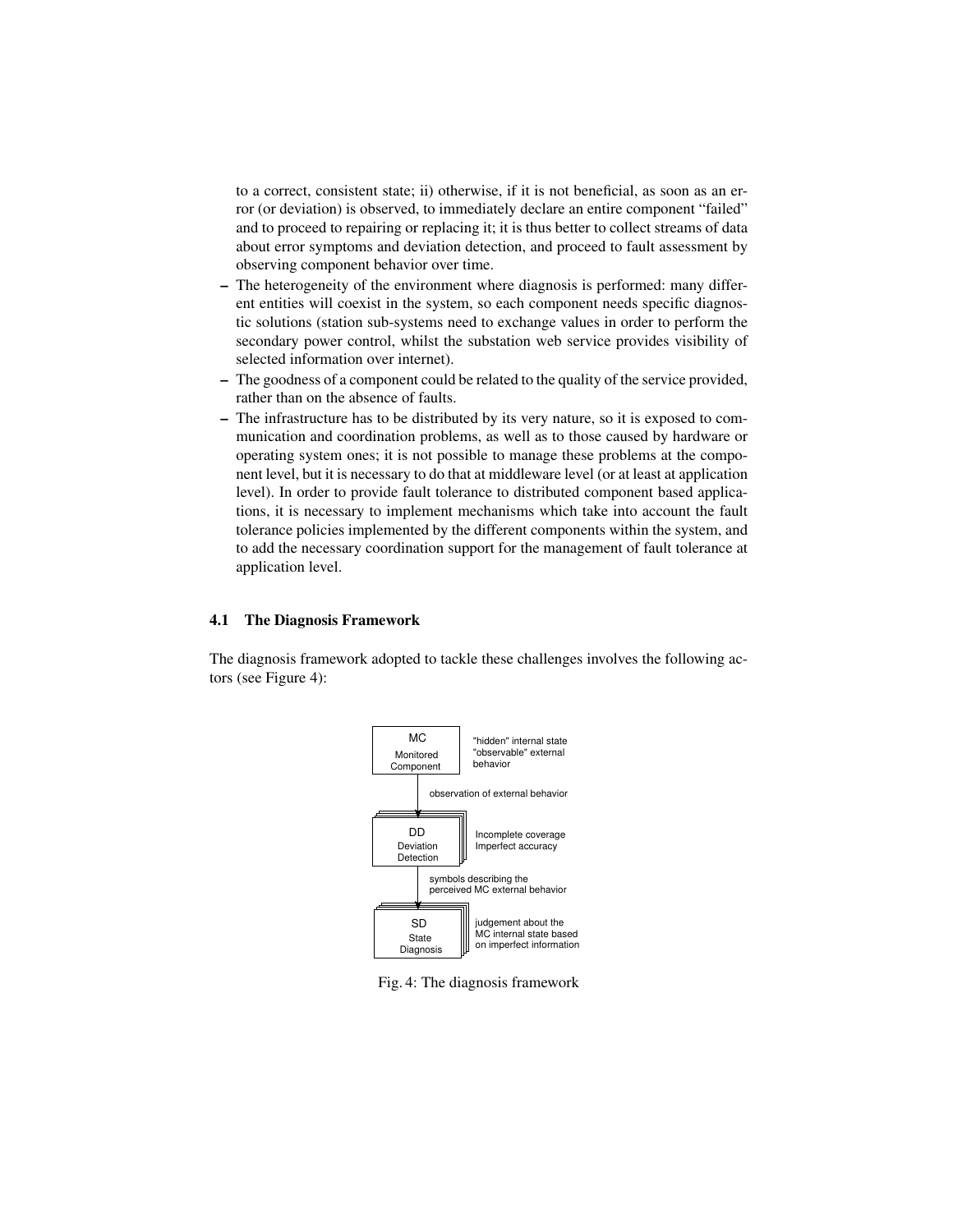to a correct, consistent state; ii) otherwise, if it is not beneficial, as soon as an error (or deviation) is observed, to immediately declare an entire component "failed" and to proceed to repairing or replacing it; it is thus better to collect streams of data about error symptoms and deviation detection, and proceed to fault assessment by observing component behavior over time.

- The heterogeneity of the environment where diagnosis is performed: many different entities will coexist in the system, so each component needs specific diagnostic solutions (station sub-systems need to exchange values in order to perform the secondary power control, whilst the substation web service provides visibility of selected information over internet).
- The goodness of a component could be related to the quality of the service provided, rather than on the absence of faults.
- The infrastructure has to be distributed by its very nature, so it is exposed to communication and coordination problems, as well as to those caused by hardware or operating system ones; it is not possible to manage these problems at the component level, but it is necessary to do that at middleware level (or at least at application level). In order to provide fault tolerance to distributed component based applications, it is necessary to implement mechanisms which take into account the fault tolerance policies implemented by the different components within the system, and to add the necessary coordination support for the management of fault tolerance at application level.

#### 4.1 The Diagnosis Framework

The diagnosis framework adopted to tackle these challenges involves the following actors (see Figure 4):



Fig. 4: The diagnosis framework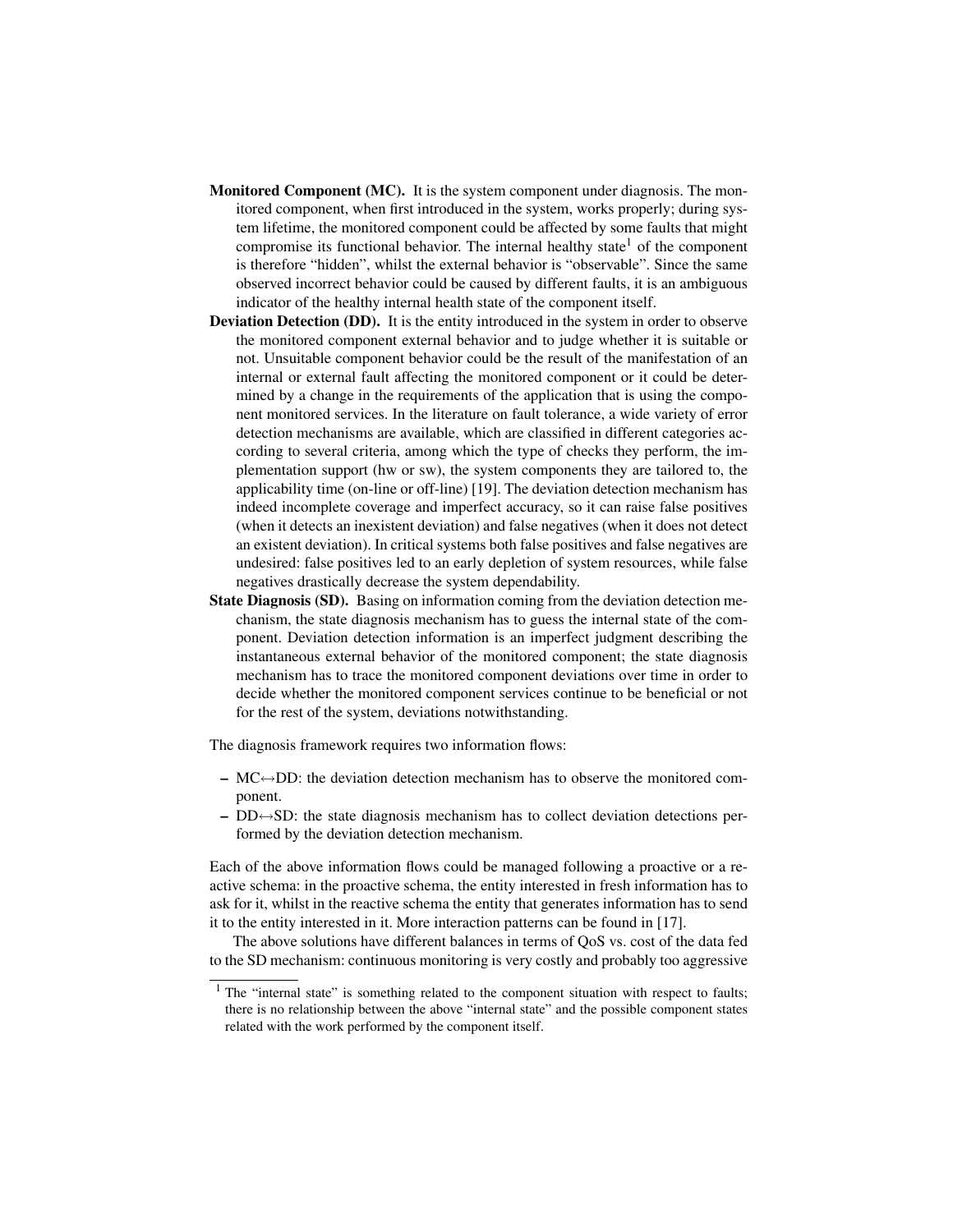- Monitored Component (MC). It is the system component under diagnosis. The monitored component, when first introduced in the system, works properly; during system lifetime, the monitored component could be affected by some faults that might compromise its functional behavior. The internal healthy state<sup>1</sup> of the component is therefore "hidden", whilst the external behavior is "observable". Since the same observed incorrect behavior could be caused by different faults, it is an ambiguous indicator of the healthy internal health state of the component itself.
- Deviation Detection (DD). It is the entity introduced in the system in order to observe the monitored component external behavior and to judge whether it is suitable or not. Unsuitable component behavior could be the result of the manifestation of an internal or external fault affecting the monitored component or it could be determined by a change in the requirements of the application that is using the component monitored services. In the literature on fault tolerance, a wide variety of error detection mechanisms are available, which are classified in different categories according to several criteria, among which the type of checks they perform, the implementation support (hw or sw), the system components they are tailored to, the applicability time (on-line or off-line) [19]. The deviation detection mechanism has indeed incomplete coverage and imperfect accuracy, so it can raise false positives (when it detects an inexistent deviation) and false negatives (when it does not detect an existent deviation). In critical systems both false positives and false negatives are undesired: false positives led to an early depletion of system resources, while false negatives drastically decrease the system dependability.
- State Diagnosis (SD). Basing on information coming from the deviation detection mechanism, the state diagnosis mechanism has to guess the internal state of the component. Deviation detection information is an imperfect judgment describing the instantaneous external behavior of the monitored component; the state diagnosis mechanism has to trace the monitored component deviations over time in order to decide whether the monitored component services continue to be beneficial or not for the rest of the system, deviations notwithstanding.

The diagnosis framework requires two information flows:

- $-$  MC $\leftrightarrow$ DD: the deviation detection mechanism has to observe the monitored component.
- $–$  DD $\leftrightarrow$ SD: the state diagnosis mechanism has to collect deviation detections performed by the deviation detection mechanism.

Each of the above information flows could be managed following a proactive or a reactive schema: in the proactive schema, the entity interested in fresh information has to ask for it, whilst in the reactive schema the entity that generates information has to send it to the entity interested in it. More interaction patterns can be found in [17].

The above solutions have different balances in terms of QoS vs. cost of the data fed to the SD mechanism: continuous monitoring is very costly and probably too aggressive

<sup>&</sup>lt;sup>1</sup> The "internal state" is something related to the component situation with respect to faults; there is no relationship between the above "internal state" and the possible component states related with the work performed by the component itself.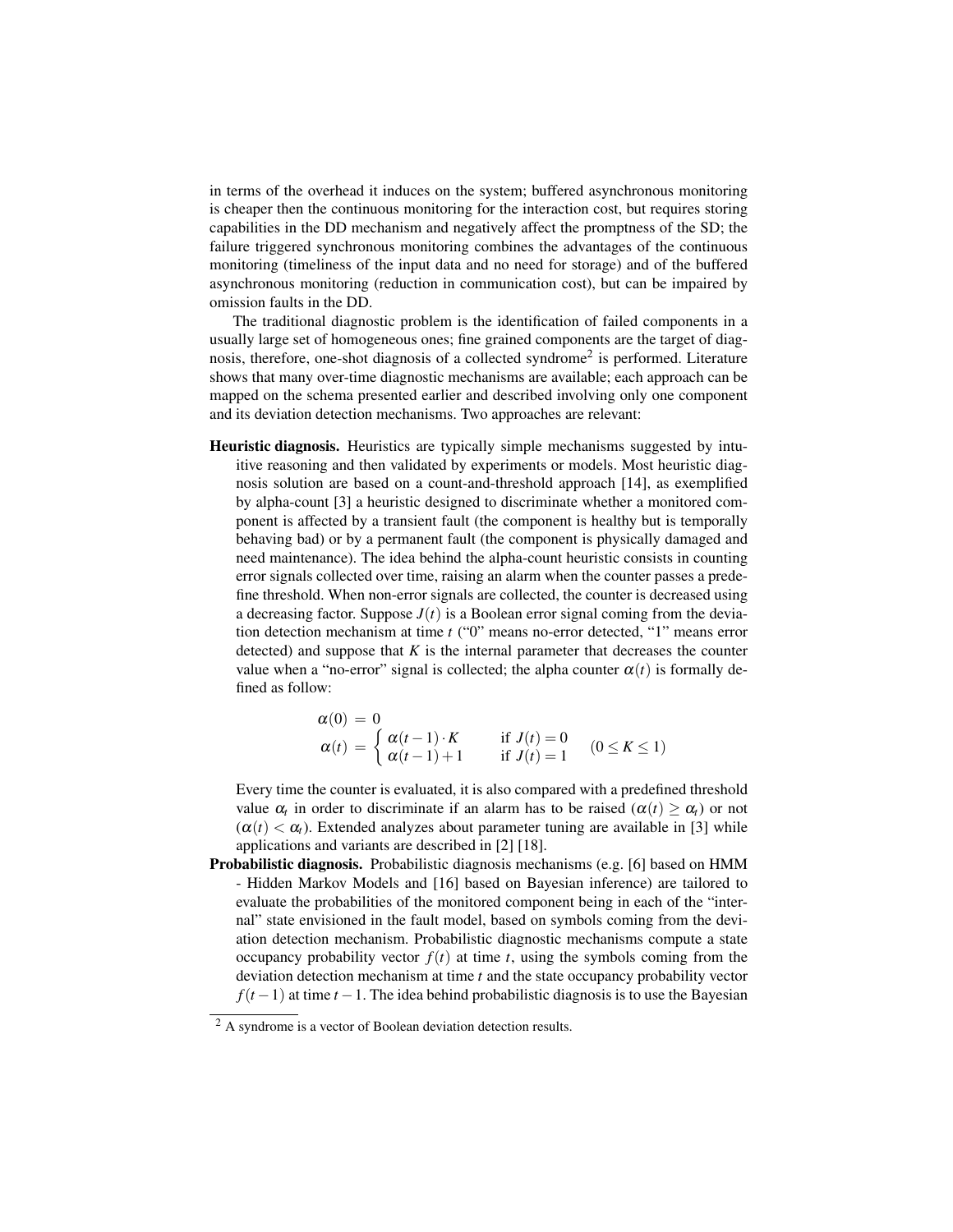in terms of the overhead it induces on the system; buffered asynchronous monitoring is cheaper then the continuous monitoring for the interaction cost, but requires storing capabilities in the DD mechanism and negatively affect the promptness of the SD; the failure triggered synchronous monitoring combines the advantages of the continuous monitoring (timeliness of the input data and no need for storage) and of the buffered asynchronous monitoring (reduction in communication cost), but can be impaired by omission faults in the DD.

The traditional diagnostic problem is the identification of failed components in a usually large set of homogeneous ones; fine grained components are the target of diagnosis, therefore, one-shot diagnosis of a collected syndrome<sup>2</sup> is performed. Literature shows that many over-time diagnostic mechanisms are available; each approach can be mapped on the schema presented earlier and described involving only one component and its deviation detection mechanisms. Two approaches are relevant:

Heuristic diagnosis. Heuristics are typically simple mechanisms suggested by intuitive reasoning and then validated by experiments or models. Most heuristic diagnosis solution are based on a count-and-threshold approach [14], as exemplified by alpha-count [3] a heuristic designed to discriminate whether a monitored component is affected by a transient fault (the component is healthy but is temporally behaving bad) or by a permanent fault (the component is physically damaged and need maintenance). The idea behind the alpha-count heuristic consists in counting error signals collected over time, raising an alarm when the counter passes a predefine threshold. When non-error signals are collected, the counter is decreased using a decreasing factor. Suppose  $J(t)$  is a Boolean error signal coming from the deviation detection mechanism at time *t* ("0" means no-error detected, "1" means error detected) and suppose that  $K$  is the internal parameter that decreases the counter value when a "no-error" signal is collected; the alpha counter  $\alpha(t)$  is formally defined as follow:

$$
\alpha(0) = 0
$$
  
\n
$$
\alpha(t) = \begin{cases}\n\alpha(t-1) \cdot K & \text{if } J(t) = 0 \\
\alpha(t-1) + 1 & \text{if } J(t) = 1\n\end{cases} \quad (0 \le K \le 1)
$$

Every time the counter is evaluated, it is also compared with a predefined threshold value  $\alpha_t$  in order to discriminate if an alarm has to be raised  $(\alpha(t) \ge \alpha_t)$  or not  $(\alpha(t) < \alpha_t)$ . Extended analyzes about parameter tuning are available in [3] while applications and variants are described in [2] [18].

Probabilistic diagnosis. Probabilistic diagnosis mechanisms (e.g. [6] based on HMM - Hidden Markov Models and [16] based on Bayesian inference) are tailored to evaluate the probabilities of the monitored component being in each of the "internal" state envisioned in the fault model, based on symbols coming from the deviation detection mechanism. Probabilistic diagnostic mechanisms compute a state occupancy probability vector  $f(t)$  at time *t*, using the symbols coming from the deviation detection mechanism at time *t* and the state occupancy probability vector  $f(t-1)$  at time  $t-1$ . The idea behind probabilistic diagnosis is to use the Bayesian

<sup>2</sup> A syndrome is a vector of Boolean deviation detection results.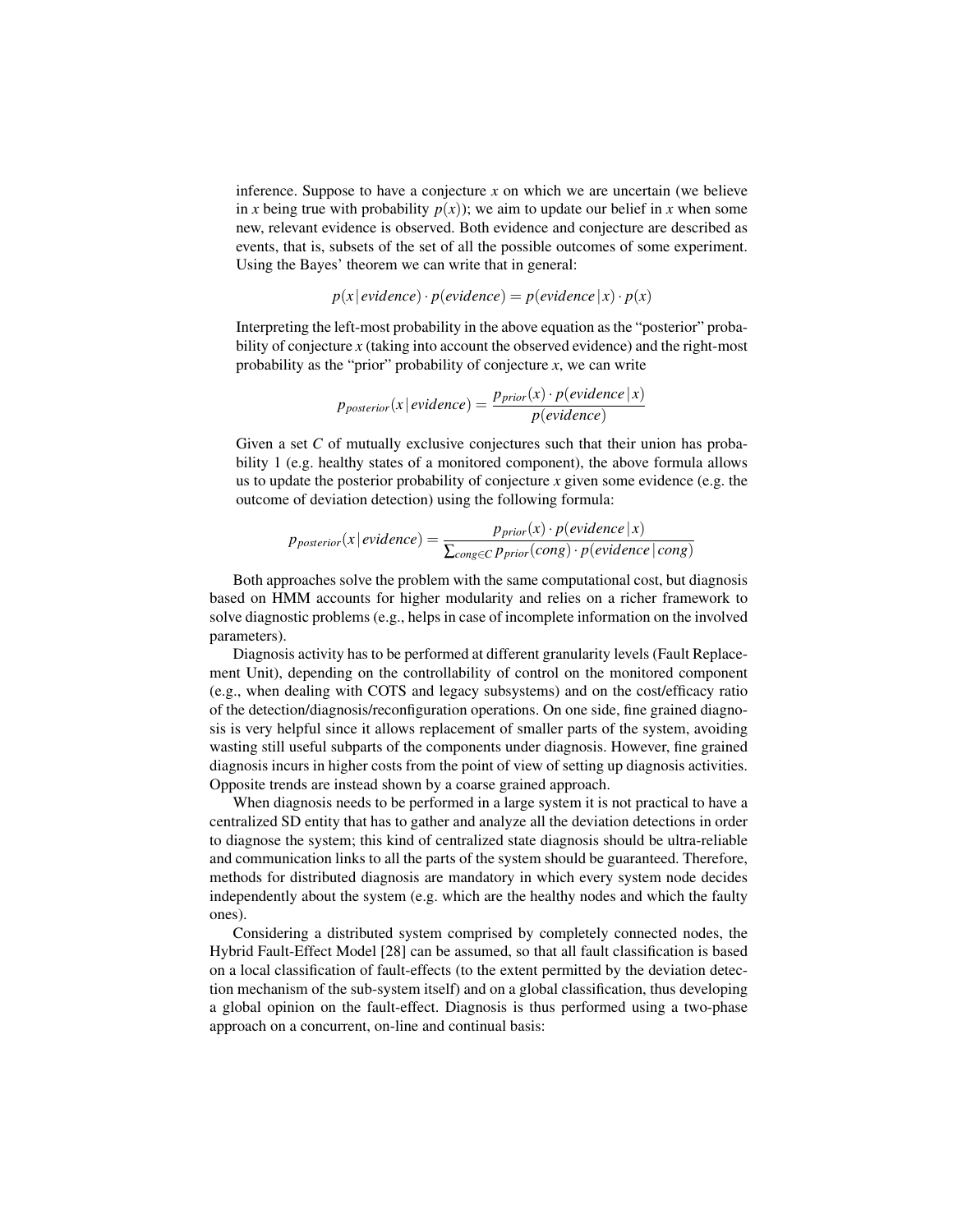inference. Suppose to have a conjecture *x* on which we are uncertain (we believe in *x* being true with probability  $p(x)$ ; we aim to update our belief in *x* when some new, relevant evidence is observed. Both evidence and conjecture are described as events, that is, subsets of the set of all the possible outcomes of some experiment. Using the Bayes' theorem we can write that in general:

$$
p(x|evidence) \cdot p(evidence) = p(evidence|x) \cdot p(x)
$$

Interpreting the left-most probability in the above equation as the "posterior" probability of conjecture *x* (taking into account the observed evidence) and the right-most probability as the "prior" probability of conjecture *x*, we can write

$$
p_{posterior}(x | evidence) = \frac{p_{prior}(x) \cdot p(evidence | x)}{p(evidence)}
$$

Given a set *C* of mutually exclusive conjectures such that their union has probability 1 (e.g. healthy states of a monitored component), the above formula allows us to update the posterior probability of conjecture *x* given some evidence (e.g. the outcome of deviation detection) using the following formula:

$$
p_{posterior}(x \mid evidence) = \frac{p_{prior}(x) \cdot p(evidence \mid x)}{\sum_{cong \in C} p_{prior}(cong) \cdot p(evidence \mid cong)}
$$

Both approaches solve the problem with the same computational cost, but diagnosis based on HMM accounts for higher modularity and relies on a richer framework to solve diagnostic problems (e.g., helps in case of incomplete information on the involved parameters).

Diagnosis activity has to be performed at different granularity levels (Fault Replacement Unit), depending on the controllability of control on the monitored component (e.g., when dealing with COTS and legacy subsystems) and on the cost/efficacy ratio of the detection/diagnosis/reconfiguration operations. On one side, fine grained diagnosis is very helpful since it allows replacement of smaller parts of the system, avoiding wasting still useful subparts of the components under diagnosis. However, fine grained diagnosis incurs in higher costs from the point of view of setting up diagnosis activities. Opposite trends are instead shown by a coarse grained approach.

When diagnosis needs to be performed in a large system it is not practical to have a centralized SD entity that has to gather and analyze all the deviation detections in order to diagnose the system; this kind of centralized state diagnosis should be ultra-reliable and communication links to all the parts of the system should be guaranteed. Therefore, methods for distributed diagnosis are mandatory in which every system node decides independently about the system (e.g. which are the healthy nodes and which the faulty ones).

Considering a distributed system comprised by completely connected nodes, the Hybrid Fault-Effect Model [28] can be assumed, so that all fault classification is based on a local classification of fault-effects (to the extent permitted by the deviation detection mechanism of the sub-system itself) and on a global classification, thus developing a global opinion on the fault-effect. Diagnosis is thus performed using a two-phase approach on a concurrent, on-line and continual basis: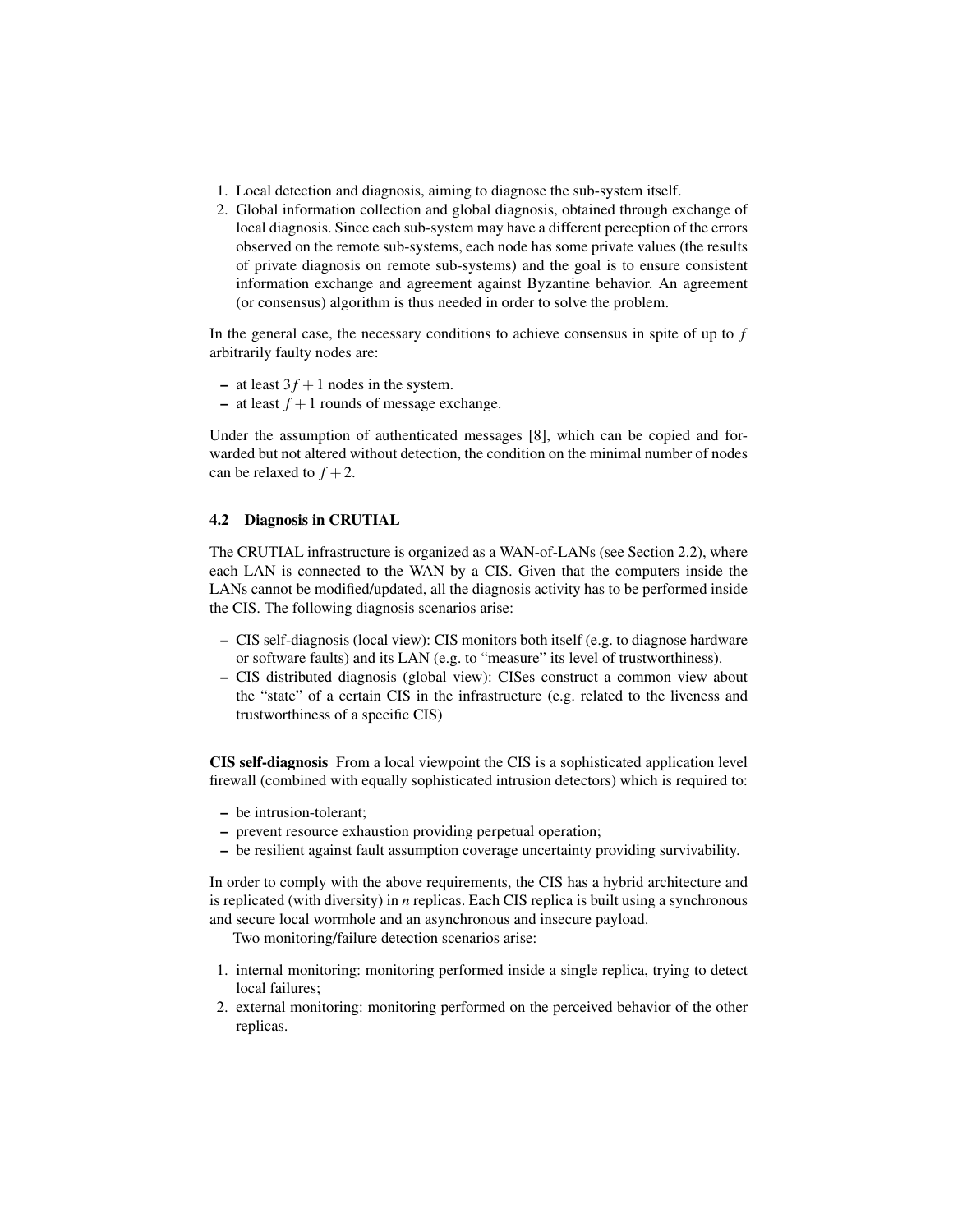- 1. Local detection and diagnosis, aiming to diagnose the sub-system itself.
- 2. Global information collection and global diagnosis, obtained through exchange of local diagnosis. Since each sub-system may have a different perception of the errors observed on the remote sub-systems, each node has some private values (the results of private diagnosis on remote sub-systems) and the goal is to ensure consistent information exchange and agreement against Byzantine behavior. An agreement (or consensus) algorithm is thus needed in order to solve the problem.

In the general case, the necessary conditions to achieve consensus in spite of up to *f* arbitrarily faulty nodes are:

- $-$  at least  $3f + 1$  nodes in the system.
- at least  $f + 1$  rounds of message exchange.

Under the assumption of authenticated messages [8], which can be copied and forwarded but not altered without detection, the condition on the minimal number of nodes can be relaxed to  $f + 2$ .

## 4.2 Diagnosis in CRUTIAL

The CRUTIAL infrastructure is organized as a WAN-of-LANs (see Section 2.2), where each LAN is connected to the WAN by a CIS. Given that the computers inside the LANs cannot be modified/updated, all the diagnosis activity has to be performed inside the CIS. The following diagnosis scenarios arise:

- CIS self-diagnosis (local view): CIS monitors both itself (e.g. to diagnose hardware or software faults) and its LAN (e.g. to "measure" its level of trustworthiness).
- CIS distributed diagnosis (global view): CISes construct a common view about the "state" of a certain CIS in the infrastructure (e.g. related to the liveness and trustworthiness of a specific CIS)

CIS self-diagnosis From a local viewpoint the CIS is a sophisticated application level firewall (combined with equally sophisticated intrusion detectors) which is required to:

- be intrusion-tolerant;
- prevent resource exhaustion providing perpetual operation;
- be resilient against fault assumption coverage uncertainty providing survivability.

In order to comply with the above requirements, the CIS has a hybrid architecture and is replicated (with diversity) in *n* replicas. Each CIS replica is built using a synchronous and secure local wormhole and an asynchronous and insecure payload.

Two monitoring/failure detection scenarios arise:

- 1. internal monitoring: monitoring performed inside a single replica, trying to detect local failures;
- 2. external monitoring: monitoring performed on the perceived behavior of the other replicas.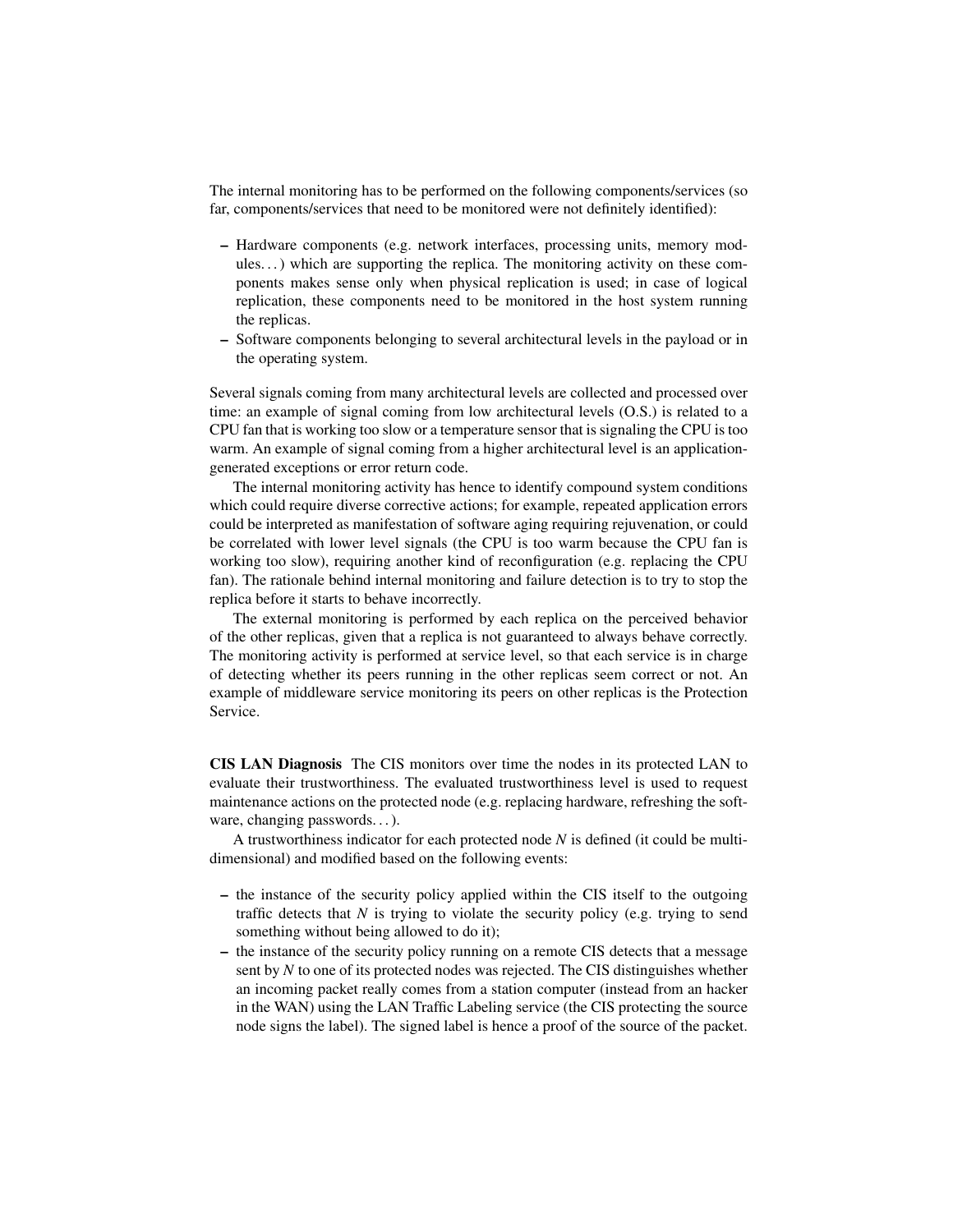The internal monitoring has to be performed on the following components/services (so far, components/services that need to be monitored were not definitely identified):

- Hardware components (e.g. network interfaces, processing units, memory modules...) which are supporting the replica. The monitoring activity on these components makes sense only when physical replication is used; in case of logical replication, these components need to be monitored in the host system running the replicas.
- Software components belonging to several architectural levels in the payload or in the operating system.

Several signals coming from many architectural levels are collected and processed over time: an example of signal coming from low architectural levels (O.S.) is related to a CPU fan that is working too slow or a temperature sensor that is signaling the CPU is too warm. An example of signal coming from a higher architectural level is an applicationgenerated exceptions or error return code.

The internal monitoring activity has hence to identify compound system conditions which could require diverse corrective actions; for example, repeated application errors could be interpreted as manifestation of software aging requiring rejuvenation, or could be correlated with lower level signals (the CPU is too warm because the CPU fan is working too slow), requiring another kind of reconfiguration (e.g. replacing the CPU fan). The rationale behind internal monitoring and failure detection is to try to stop the replica before it starts to behave incorrectly.

The external monitoring is performed by each replica on the perceived behavior of the other replicas, given that a replica is not guaranteed to always behave correctly. The monitoring activity is performed at service level, so that each service is in charge of detecting whether its peers running in the other replicas seem correct or not. An example of middleware service monitoring its peers on other replicas is the Protection Service.

CIS LAN Diagnosis The CIS monitors over time the nodes in its protected LAN to evaluate their trustworthiness. The evaluated trustworthiness level is used to request maintenance actions on the protected node (e.g. replacing hardware, refreshing the software, changing passwords...).

A trustworthiness indicator for each protected node *N* is defined (it could be multidimensional) and modified based on the following events:

- the instance of the security policy applied within the CIS itself to the outgoing traffic detects that *N* is trying to violate the security policy (e.g. trying to send something without being allowed to do it);
- the instance of the security policy running on a remote CIS detects that a message sent by *N* to one of its protected nodes was rejected. The CIS distinguishes whether an incoming packet really comes from a station computer (instead from an hacker in the WAN) using the LAN Traffic Labeling service (the CIS protecting the source node signs the label). The signed label is hence a proof of the source of the packet.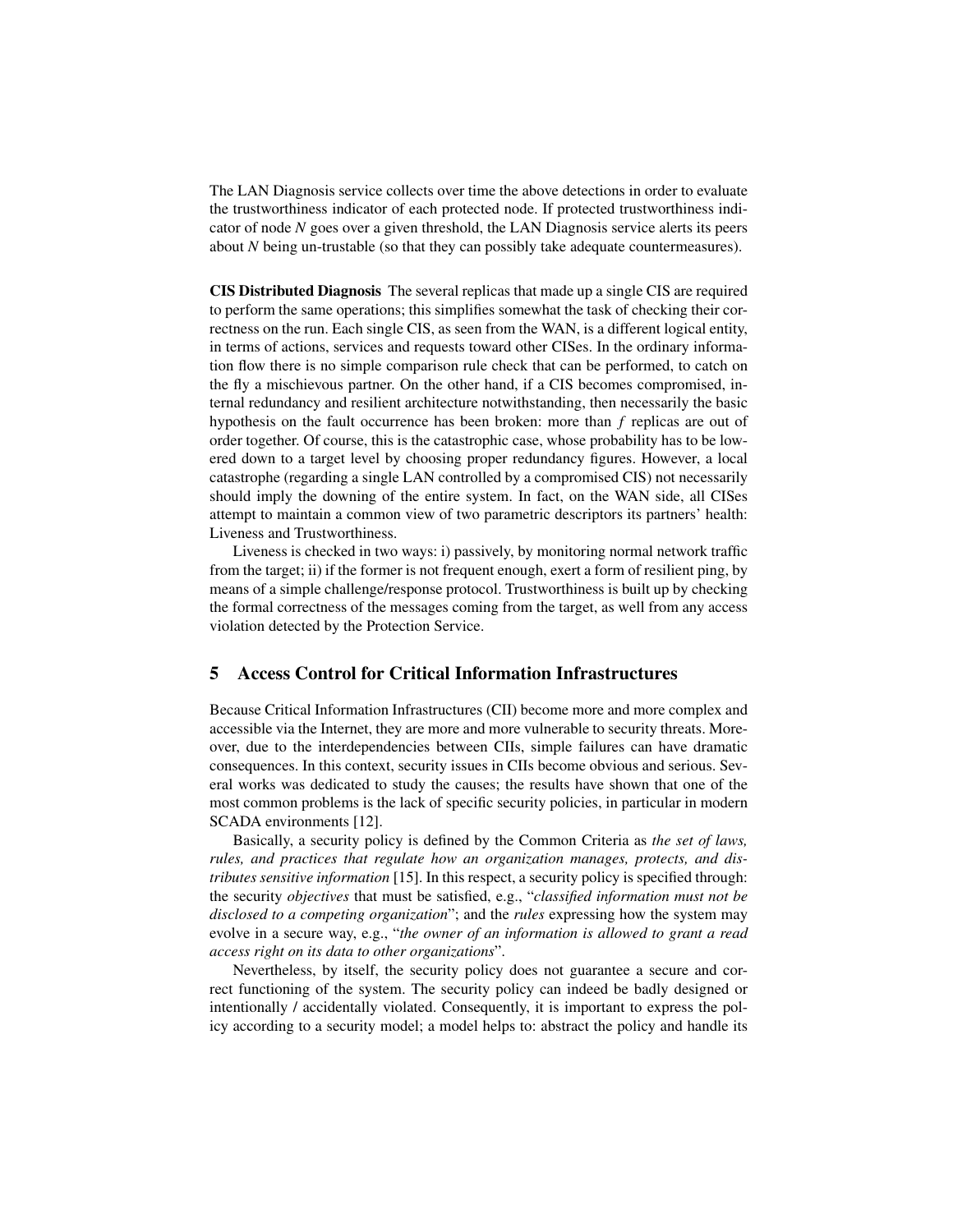The LAN Diagnosis service collects over time the above detections in order to evaluate the trustworthiness indicator of each protected node. If protected trustworthiness indicator of node *N* goes over a given threshold, the LAN Diagnosis service alerts its peers about *N* being un-trustable (so that they can possibly take adequate countermeasures).

CIS Distributed Diagnosis The several replicas that made up a single CIS are required to perform the same operations; this simplifies somewhat the task of checking their correctness on the run. Each single CIS, as seen from the WAN, is a different logical entity, in terms of actions, services and requests toward other CISes. In the ordinary information flow there is no simple comparison rule check that can be performed, to catch on the fly a mischievous partner. On the other hand, if a CIS becomes compromised, internal redundancy and resilient architecture notwithstanding, then necessarily the basic hypothesis on the fault occurrence has been broken: more than *f* replicas are out of order together. Of course, this is the catastrophic case, whose probability has to be lowered down to a target level by choosing proper redundancy figures. However, a local catastrophe (regarding a single LAN controlled by a compromised CIS) not necessarily should imply the downing of the entire system. In fact, on the WAN side, all CISes attempt to maintain a common view of two parametric descriptors its partners' health: Liveness and Trustworthiness.

Liveness is checked in two ways: i) passively, by monitoring normal network traffic from the target; ii) if the former is not frequent enough, exert a form of resilient ping, by means of a simple challenge/response protocol. Trustworthiness is built up by checking the formal correctness of the messages coming from the target, as well from any access violation detected by the Protection Service.

## 5 Access Control for Critical Information Infrastructures

Because Critical Information Infrastructures (CII) become more and more complex and accessible via the Internet, they are more and more vulnerable to security threats. Moreover, due to the interdependencies between CIIs, simple failures can have dramatic consequences. In this context, security issues in CIIs become obvious and serious. Several works was dedicated to study the causes; the results have shown that one of the most common problems is the lack of specific security policies, in particular in modern SCADA environments [12].

Basically, a security policy is defined by the Common Criteria as *the set of laws, rules, and practices that regulate how an organization manages, protects, and distributes sensitive information* [15]. In this respect, a security policy is specified through: the security *objectives* that must be satisfied, e.g., "*classified information must not be disclosed to a competing organization*"; and the *rules* expressing how the system may evolve in a secure way, e.g., "*the owner of an information is allowed to grant a read access right on its data to other organizations*".

Nevertheless, by itself, the security policy does not guarantee a secure and correct functioning of the system. The security policy can indeed be badly designed or intentionally / accidentally violated. Consequently, it is important to express the policy according to a security model; a model helps to: abstract the policy and handle its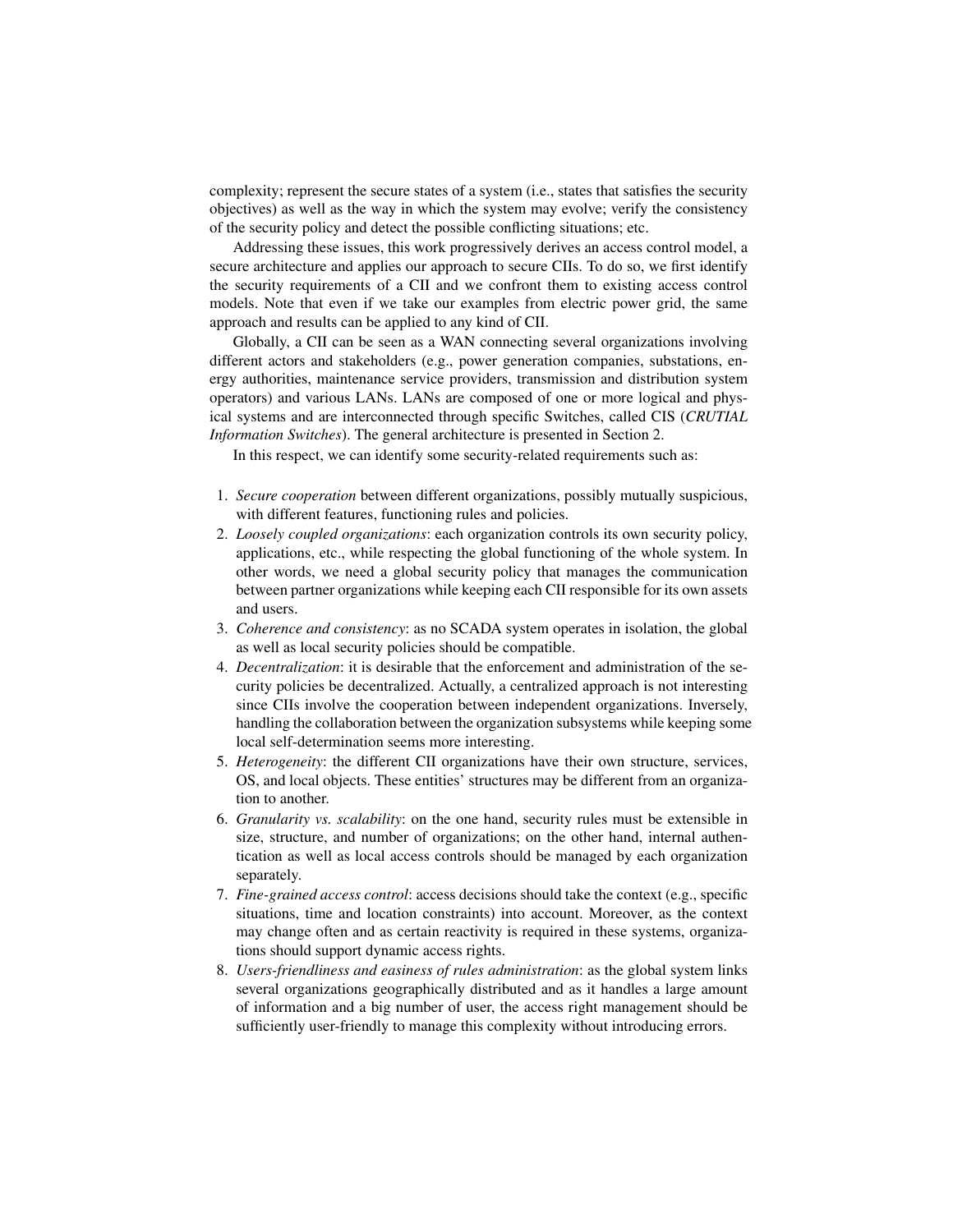complexity; represent the secure states of a system (i.e., states that satisfies the security objectives) as well as the way in which the system may evolve; verify the consistency of the security policy and detect the possible conflicting situations; etc.

Addressing these issues, this work progressively derives an access control model, a secure architecture and applies our approach to secure CIIs. To do so, we first identify the security requirements of a CII and we confront them to existing access control models. Note that even if we take our examples from electric power grid, the same approach and results can be applied to any kind of CII.

Globally, a CII can be seen as a WAN connecting several organizations involving different actors and stakeholders (e.g., power generation companies, substations, energy authorities, maintenance service providers, transmission and distribution system operators) and various LANs. LANs are composed of one or more logical and physical systems and are interconnected through specific Switches, called CIS (*CRUTIAL Information Switches*). The general architecture is presented in Section 2.

In this respect, we can identify some security-related requirements such as:

- 1. *Secure cooperation* between different organizations, possibly mutually suspicious, with different features, functioning rules and policies.
- 2. *Loosely coupled organizations*: each organization controls its own security policy, applications, etc., while respecting the global functioning of the whole system. In other words, we need a global security policy that manages the communication between partner organizations while keeping each CII responsible for its own assets and users.
- 3. *Coherence and consistency*: as no SCADA system operates in isolation, the global as well as local security policies should be compatible.
- 4. *Decentralization*: it is desirable that the enforcement and administration of the security policies be decentralized. Actually, a centralized approach is not interesting since CIIs involve the cooperation between independent organizations. Inversely, handling the collaboration between the organization subsystems while keeping some local self-determination seems more interesting.
- 5. *Heterogeneity*: the different CII organizations have their own structure, services, OS, and local objects. These entities' structures may be different from an organization to another.
- 6. *Granularity vs. scalability*: on the one hand, security rules must be extensible in size, structure, and number of organizations; on the other hand, internal authentication as well as local access controls should be managed by each organization separately.
- 7. *Fine-grained access control*: access decisions should take the context (e.g., specific situations, time and location constraints) into account. Moreover, as the context may change often and as certain reactivity is required in these systems, organizations should support dynamic access rights.
- 8. *Users-friendliness and easiness of rules administration*: as the global system links several organizations geographically distributed and as it handles a large amount of information and a big number of user, the access right management should be sufficiently user-friendly to manage this complexity without introducing errors.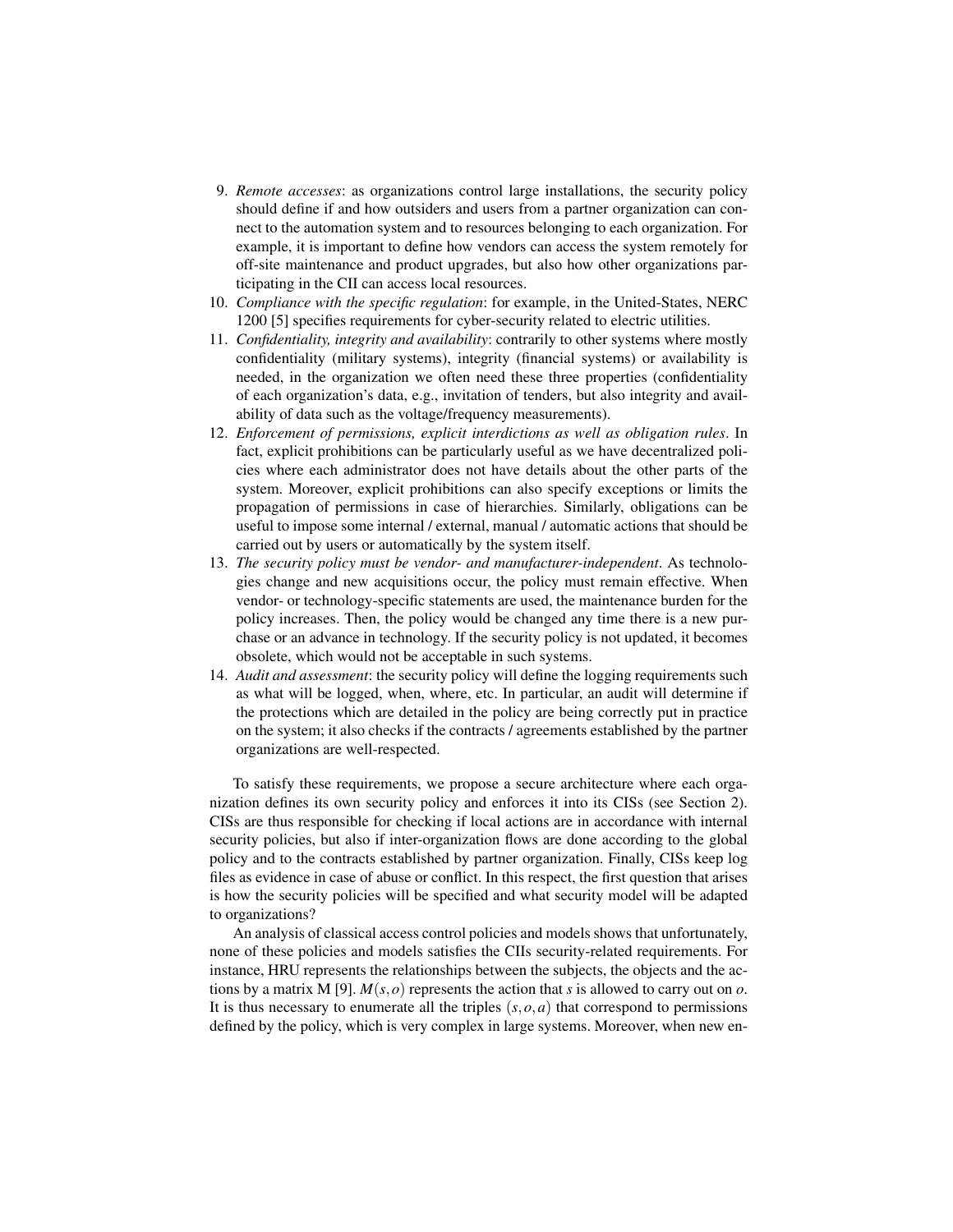- 9. *Remote accesses*: as organizations control large installations, the security policy should define if and how outsiders and users from a partner organization can connect to the automation system and to resources belonging to each organization. For example, it is important to define how vendors can access the system remotely for off-site maintenance and product upgrades, but also how other organizations participating in the CII can access local resources.
- 10. *Compliance with the specific regulation*: for example, in the United-States, NERC 1200 [5] specifies requirements for cyber-security related to electric utilities.
- 11. *Confidentiality, integrity and availability*: contrarily to other systems where mostly confidentiality (military systems), integrity (financial systems) or availability is needed, in the organization we often need these three properties (confidentiality of each organization's data, e.g., invitation of tenders, but also integrity and availability of data such as the voltage/frequency measurements).
- 12. *Enforcement of permissions, explicit interdictions as well as obligation rules*. In fact, explicit prohibitions can be particularly useful as we have decentralized policies where each administrator does not have details about the other parts of the system. Moreover, explicit prohibitions can also specify exceptions or limits the propagation of permissions in case of hierarchies. Similarly, obligations can be useful to impose some internal / external, manual / automatic actions that should be carried out by users or automatically by the system itself.
- 13. *The security policy must be vendor- and manufacturer-independent*. As technologies change and new acquisitions occur, the policy must remain effective. When vendor- or technology-specific statements are used, the maintenance burden for the policy increases. Then, the policy would be changed any time there is a new purchase or an advance in technology. If the security policy is not updated, it becomes obsolete, which would not be acceptable in such systems.
- 14. *Audit and assessment*: the security policy will define the logging requirements such as what will be logged, when, where, etc. In particular, an audit will determine if the protections which are detailed in the policy are being correctly put in practice on the system; it also checks if the contracts / agreements established by the partner organizations are well-respected.

To satisfy these requirements, we propose a secure architecture where each organization defines its own security policy and enforces it into its CISs (see Section 2). CISs are thus responsible for checking if local actions are in accordance with internal security policies, but also if inter-organization flows are done according to the global policy and to the contracts established by partner organization. Finally, CISs keep log files as evidence in case of abuse or conflict. In this respect, the first question that arises is how the security policies will be specified and what security model will be adapted to organizations?

An analysis of classical access control policies and models shows that unfortunately, none of these policies and models satisfies the CIIs security-related requirements. For instance, HRU represents the relationships between the subjects, the objects and the actions by a matrix M [9].  $M(s, o)$  represents the action that *s* is allowed to carry out on *o*. It is thus necessary to enumerate all the triples  $(s, o, a)$  that correspond to permissions defined by the policy, which is very complex in large systems. Moreover, when new en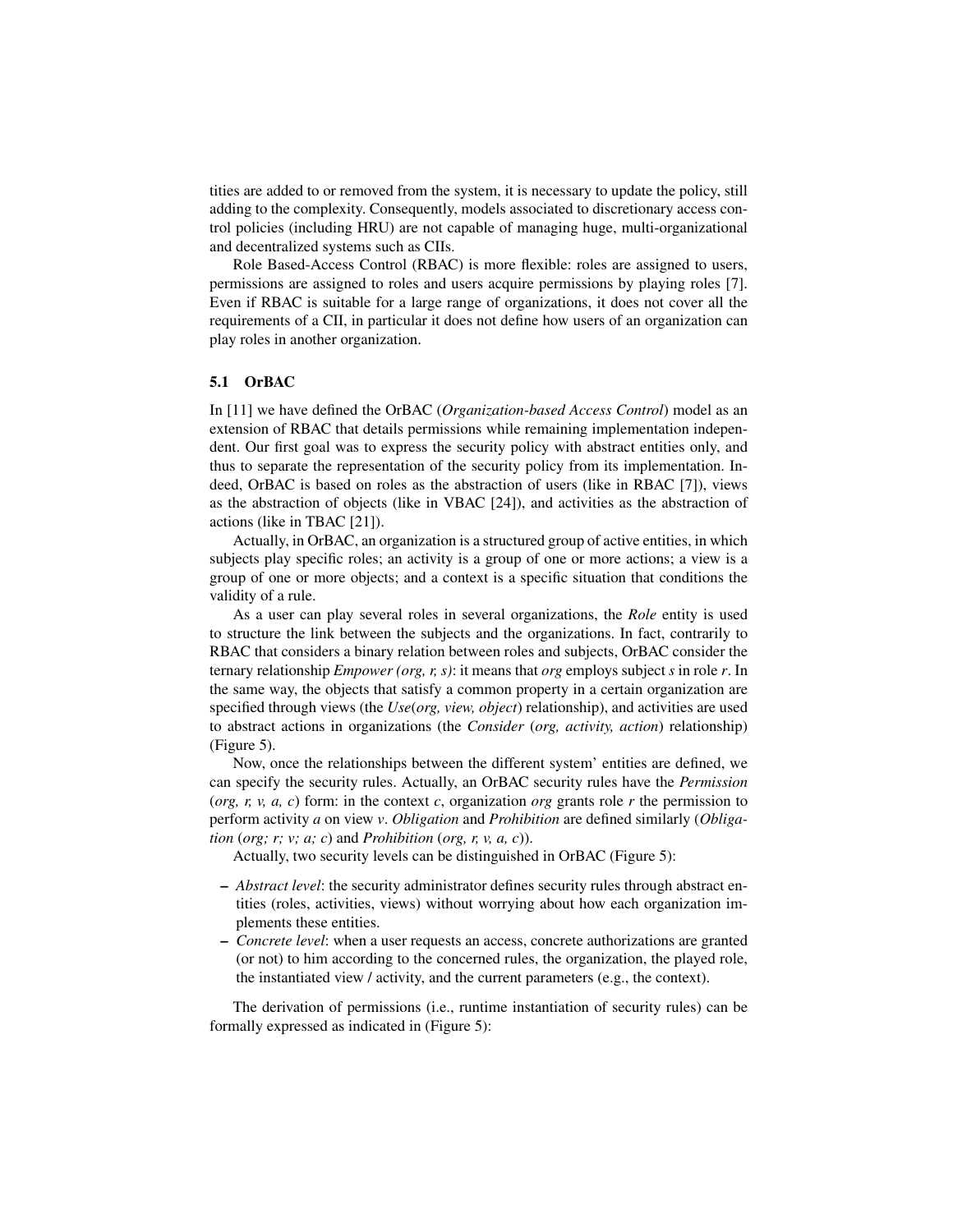tities are added to or removed from the system, it is necessary to update the policy, still adding to the complexity. Consequently, models associated to discretionary access control policies (including HRU) are not capable of managing huge, multi-organizational and decentralized systems such as CIIs.

Role Based-Access Control (RBAC) is more flexible: roles are assigned to users, permissions are assigned to roles and users acquire permissions by playing roles [7]. Even if RBAC is suitable for a large range of organizations, it does not cover all the requirements of a CII, in particular it does not define how users of an organization can play roles in another organization.

## 5.1 OrBAC

In [11] we have defined the OrBAC (*Organization-based Access Control*) model as an extension of RBAC that details permissions while remaining implementation independent. Our first goal was to express the security policy with abstract entities only, and thus to separate the representation of the security policy from its implementation. Indeed, OrBAC is based on roles as the abstraction of users (like in RBAC [7]), views as the abstraction of objects (like in VBAC [24]), and activities as the abstraction of actions (like in TBAC [21]).

Actually, in OrBAC, an organization is a structured group of active entities, in which subjects play specific roles; an activity is a group of one or more actions; a view is a group of one or more objects; and a context is a specific situation that conditions the validity of a rule.

As a user can play several roles in several organizations, the *Role* entity is used to structure the link between the subjects and the organizations. In fact, contrarily to RBAC that considers a binary relation between roles and subjects, OrBAC consider the ternary relationship *Empower (org, r, s)*: it means that *org* employs subject *s* in role *r*. In the same way, the objects that satisfy a common property in a certain organization are specified through views (the *Use*(*org, view, object*) relationship), and activities are used to abstract actions in organizations (the *Consider* (*org, activity, action*) relationship) (Figure 5).

Now, once the relationships between the different system' entities are defined, we can specify the security rules. Actually, an OrBAC security rules have the *Permission* (*org, r, v, a, c*) form: in the context *c*, organization *org* grants role *r* the permission to perform activity *a* on view *v*. *Obligation* and *Prohibition* are defined similarly (*Obligation* (*org; r; v; a; c*) and *Prohibition* (*org, r, v, a, c*)).

Actually, two security levels can be distinguished in OrBAC (Figure 5):

- *Abstract level*: the security administrator defines security rules through abstract entities (roles, activities, views) without worrying about how each organization implements these entities.
- *Concrete level*: when a user requests an access, concrete authorizations are granted (or not) to him according to the concerned rules, the organization, the played role, the instantiated view / activity, and the current parameters (e.g., the context).

The derivation of permissions (i.e., runtime instantiation of security rules) can be formally expressed as indicated in (Figure 5):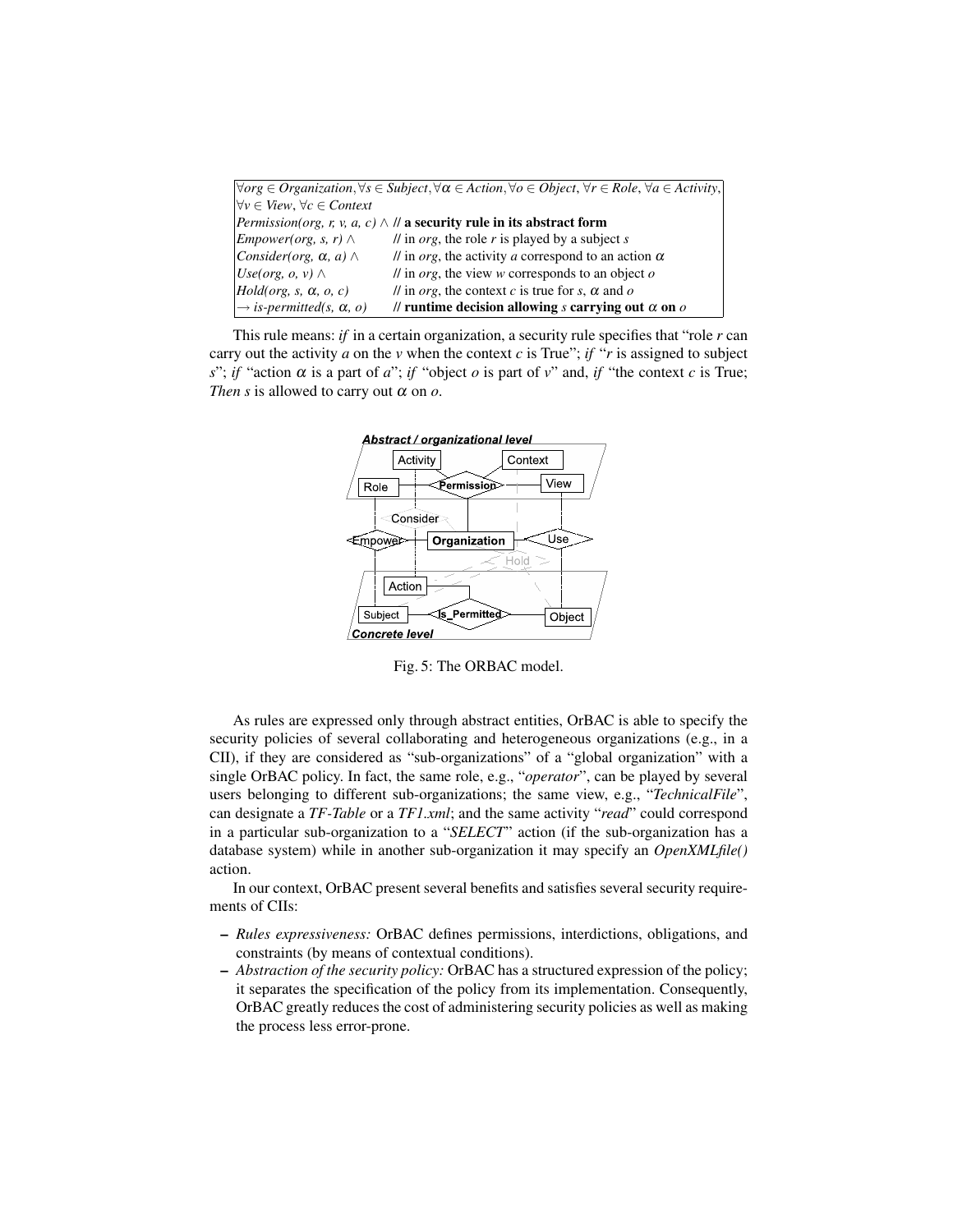| $\forall \text{org} \in Organization, \forall s \in Subject, \forall \alpha \in Action, \forall o \in Object, \forall r \in Role, \forall a \in Activity,$ |                                                                |  |
|------------------------------------------------------------------------------------------------------------------------------------------------------------|----------------------------------------------------------------|--|
| $\forall v \in View, \forall c \in Context$                                                                                                                |                                                                |  |
| <i>Permission(org, r, v, a, c)</i> $\land$ <i>//</i> a security rule in its abstract form                                                                  |                                                                |  |
| <i>Empower(org, s, r)</i> $\wedge$                                                                                                                         | $\pi$ in <i>org</i> , the role r is played by a subject s      |  |
| Consider(org, $\alpha$ , a) $\wedge$                                                                                                                       | // in org, the activity a correspond to an action $\alpha$     |  |
| $Use(org, o, v) \wedge$                                                                                                                                    | // in $org$ , the view w corresponds to an object $o$          |  |
| $Hold(org, s, \alpha, o, c)$                                                                                                                               | // in <i>org</i> , the context c is true for s, $\alpha$ and o |  |
| // runtime decision allowing s carrying out $\alpha$ on $\alpha$<br>$\rightarrow$ is-permitted(s, $\alpha$ , $\alpha$ )                                    |                                                                |  |

This rule means: *if* in a certain organization, a security rule specifies that "role *r* can carry out the activity  $a$  on the  $v$  when the context  $c$  is True"; *if* " $r$  is assigned to subject *s*"; *if* "action  $\alpha$  is a part of *a*"; *if* "object *o* is part of *v*" and, *if* "the context *c* is True; *Then s* is allowed to carry out  $\alpha$  on  $\alpha$ .



Fig. 5: The ORBAC model.

As rules are expressed only through abstract entities, OrBAC is able to specify the security policies of several collaborating and heterogeneous organizations (e.g., in a CII), if they are considered as "sub-organizations" of a "global organization" with a single OrBAC policy. In fact, the same role, e.g., "*operator*", can be played by several users belonging to different sub-organizations; the same view, e.g., "*TechnicalFile*", can designate a *TF-Table* or a *TF1.xml*; and the same activity "*read*" could correspond in a particular sub-organization to a "*SELECT*" action (if the sub-organization has a database system) while in another sub-organization it may specify an *OpenXMLfile()* action.

In our context, OrBAC present several benefits and satisfies several security requirements of CIIs:

- *Rules expressiveness:* OrBAC defines permissions, interdictions, obligations, and constraints (by means of contextual conditions).
- *Abstraction of the security policy:* OrBAC has a structured expression of the policy; it separates the specification of the policy from its implementation. Consequently, OrBAC greatly reduces the cost of administering security policies as well as making the process less error-prone.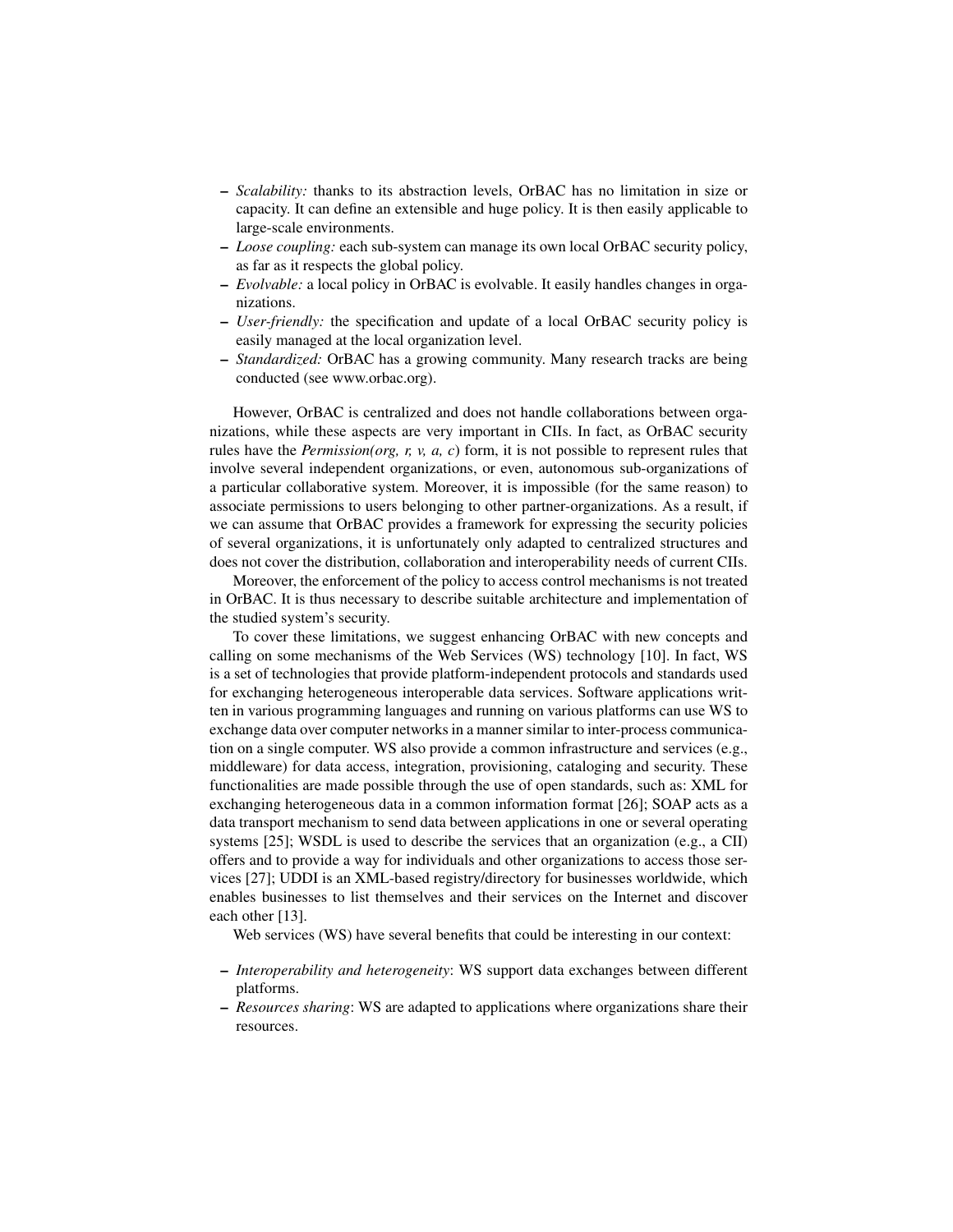- *Scalability:* thanks to its abstraction levels, OrBAC has no limitation in size or capacity. It can define an extensible and huge policy. It is then easily applicable to large-scale environments.
- *Loose coupling:* each sub-system can manage its own local OrBAC security policy, as far as it respects the global policy.
- *Evolvable:* a local policy in OrBAC is evolvable. It easily handles changes in organizations.
- *User-friendly:* the specification and update of a local OrBAC security policy is easily managed at the local organization level.
- *Standardized:* OrBAC has a growing community. Many research tracks are being conducted (see www.orbac.org).

However, OrBAC is centralized and does not handle collaborations between organizations, while these aspects are very important in CIIs. In fact, as OrBAC security rules have the *Permission(org, r, v, a, c*) form, it is not possible to represent rules that involve several independent organizations, or even, autonomous sub-organizations of a particular collaborative system. Moreover, it is impossible (for the same reason) to associate permissions to users belonging to other partner-organizations. As a result, if we can assume that OrBAC provides a framework for expressing the security policies of several organizations, it is unfortunately only adapted to centralized structures and does not cover the distribution, collaboration and interoperability needs of current CIIs.

Moreover, the enforcement of the policy to access control mechanisms is not treated in OrBAC. It is thus necessary to describe suitable architecture and implementation of the studied system's security.

To cover these limitations, we suggest enhancing OrBAC with new concepts and calling on some mechanisms of the Web Services (WS) technology [10]. In fact, WS is a set of technologies that provide platform-independent protocols and standards used for exchanging heterogeneous interoperable data services. Software applications written in various programming languages and running on various platforms can use WS to exchange data over computer networks in a manner similar to inter-process communication on a single computer. WS also provide a common infrastructure and services (e.g., middleware) for data access, integration, provisioning, cataloging and security. These functionalities are made possible through the use of open standards, such as: XML for exchanging heterogeneous data in a common information format [26]; SOAP acts as a data transport mechanism to send data between applications in one or several operating systems [25]; WSDL is used to describe the services that an organization (e.g., a CII) offers and to provide a way for individuals and other organizations to access those services [27]; UDDI is an XML-based registry/directory for businesses worldwide, which enables businesses to list themselves and their services on the Internet and discover each other [13].

Web services (WS) have several benefits that could be interesting in our context:

- *Interoperability and heterogeneity*: WS support data exchanges between different platforms.
- *Resources sharing*: WS are adapted to applications where organizations share their resources.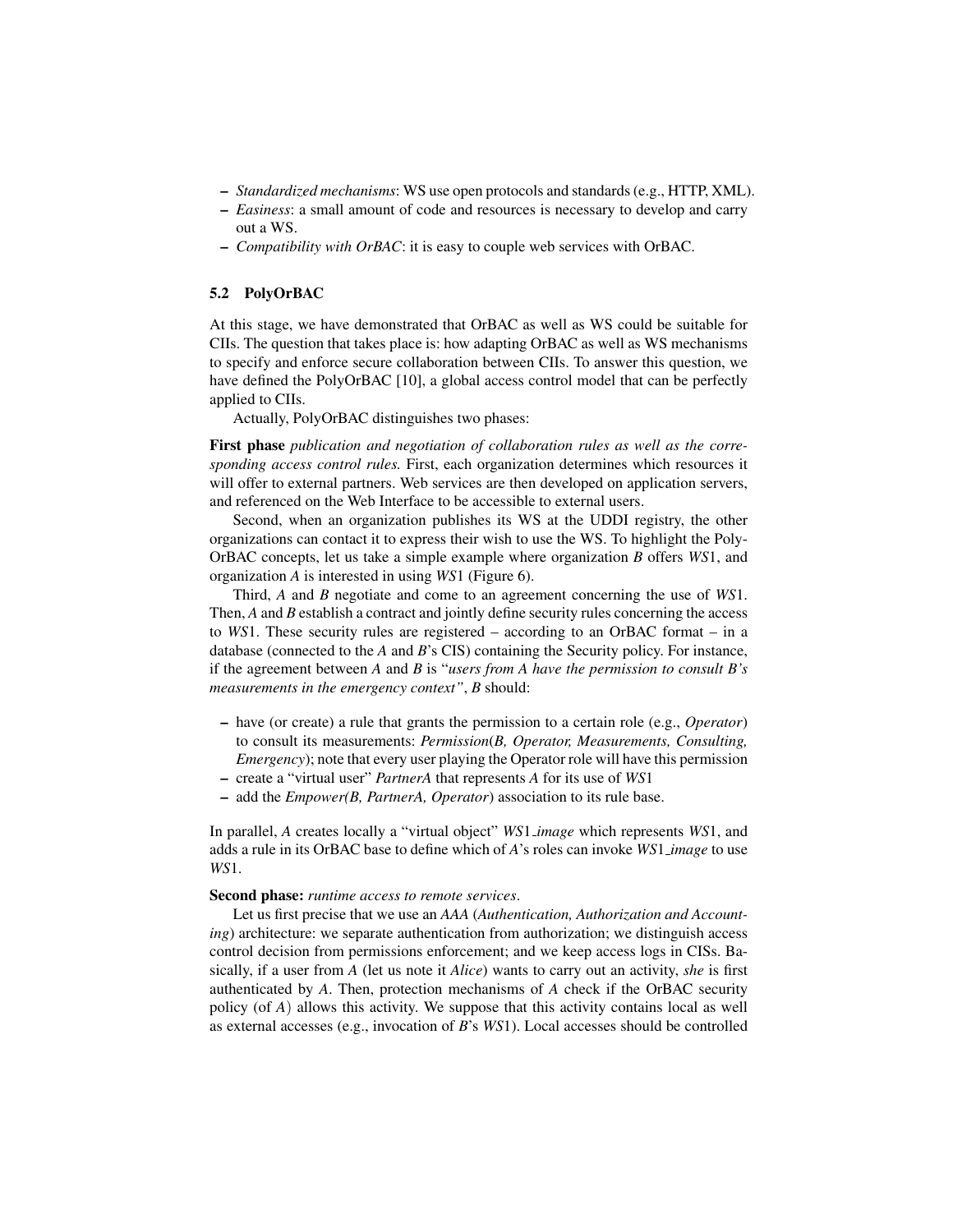- *Standardized mechanisms*: WS use open protocols and standards (e.g., HTTP, XML).
- *Easiness*: a small amount of code and resources is necessary to develop and carry out a WS.
- *Compatibility with OrBAC*: it is easy to couple web services with OrBAC.

#### 5.2 PolyOrBAC

At this stage, we have demonstrated that OrBAC as well as WS could be suitable for CIIs. The question that takes place is: how adapting OrBAC as well as WS mechanisms to specify and enforce secure collaboration between CIIs. To answer this question, we have defined the PolyOrBAC [10], a global access control model that can be perfectly applied to CIIs.

Actually, PolyOrBAC distinguishes two phases:

First phase *publication and negotiation of collaboration rules as well as the corresponding access control rules.* First, each organization determines which resources it will offer to external partners. Web services are then developed on application servers, and referenced on the Web Interface to be accessible to external users.

Second, when an organization publishes its WS at the UDDI registry, the other organizations can contact it to express their wish to use the WS. To highlight the Poly-OrBAC concepts, let us take a simple example where organization *B* offers *WS*1, and organization *A* is interested in using *WS*1 (Figure 6).

Third, *A* and *B* negotiate and come to an agreement concerning the use of *WS*1. Then, *A* and *B* establish a contract and jointly define security rules concerning the access to *WS*1. These security rules are registered – according to an OrBAC format – in a database (connected to the *A* and *B*'s CIS) containing the Security policy. For instance, if the agreement between *A* and *B* is "*users from A have the permission to consult B's measurements in the emergency context"*, *B* should:

- have (or create) a rule that grants the permission to a certain role (e.g., *Operator*) to consult its measurements: *Permission*(*B, Operator, Measurements, Consulting, Emergency*); note that every user playing the Operator role will have this permission
- create a "virtual user" *PartnerA* that represents *A* for its use of *WS*1
- add the *Empower(B, PartnerA, Operator*) association to its rule base.

In parallel, *A* creates locally a "virtual object" *WS*1 *image* which represents *WS*1, and adds a rule in its OrBAC base to define which of *A*'s roles can invoke *WS*1 *image* to use *WS*1.

### Second phase: *runtime access to remote services*.

Let us first precise that we use an *AAA* (*Authentication, Authorization and Accounting*) architecture: we separate authentication from authorization; we distinguish access control decision from permissions enforcement; and we keep access logs in CISs. Basically, if a user from *A* (let us note it *Alice*) wants to carry out an activity, *she* is first authenticated by *A*. Then, protection mechanisms of *A* check if the OrBAC security policy (of *A*) allows this activity. We suppose that this activity contains local as well as external accesses (e.g., invocation of *B*'s *WS*1). Local accesses should be controlled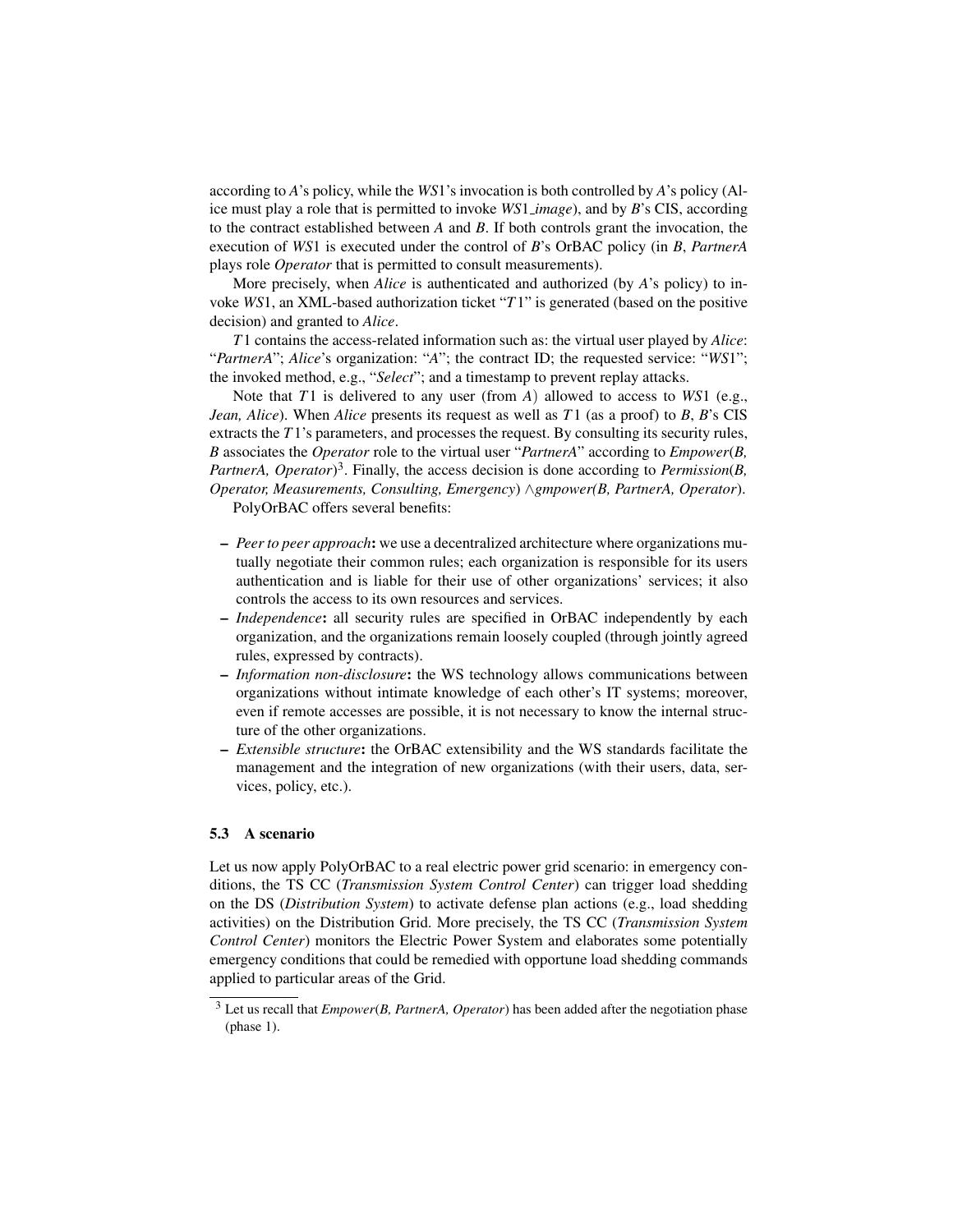according to *A*'s policy, while the *WS*1's invocation is both controlled by *A*'s policy (Alice must play a role that is permitted to invoke *WS*1 *image*), and by *B*'s CIS, according to the contract established between *A* and *B*. If both controls grant the invocation, the execution of *WS*1 is executed under the control of *B*'s OrBAC policy (in *B*, *PartnerA* plays role *Operator* that is permitted to consult measurements).

More precisely, when *Alice* is authenticated and authorized (by *A*'s policy) to invoke *WS*1, an XML-based authorization ticket "*T*1" is generated (based on the positive decision) and granted to *Alice*.

*T*1 contains the access-related information such as: the virtual user played by *Alice*: "*PartnerA*"; *Alice*'s organization: "*A*"; the contract ID; the requested service: "*WS*1"; the invoked method, e.g., "*Select*"; and a timestamp to prevent replay attacks.

Note that *T*1 is delivered to any user (from *A*) allowed to access to *WS*1 (e.g., *Jean, Alice*). When *Alice* presents its request as well as *T*1 (as a proof) to *B*, *B*'s CIS extracts the *T*1's parameters, and processes the request. By consulting its security rules, *B* associates the *Operator* role to the virtual user "*PartnerA*" according to *Empower*(*B, PartnerA, Operator*) 3 . Finally, the access decision is done according to *Permission*(*B, Operator, Measurements, Consulting, Emergency*) ∧*gmpower(B, PartnerA, Operator*).

PolyOrBAC offers several benefits:

- *Peer to peer approach*: we use a decentralized architecture where organizations mutually negotiate their common rules; each organization is responsible for its users authentication and is liable for their use of other organizations' services; it also controls the access to its own resources and services.
- *Independence*: all security rules are specified in OrBAC independently by each organization, and the organizations remain loosely coupled (through jointly agreed rules, expressed by contracts).
- *Information non-disclosure*: the WS technology allows communications between organizations without intimate knowledge of each other's IT systems; moreover, even if remote accesses are possible, it is not necessary to know the internal structure of the other organizations.
- *Extensible structure*: the OrBAC extensibility and the WS standards facilitate the management and the integration of new organizations (with their users, data, services, policy, etc.).

### 5.3 A scenario

Let us now apply PolyOrBAC to a real electric power grid scenario: in emergency conditions, the TS CC (*Transmission System Control Center*) can trigger load shedding on the DS (*Distribution System*) to activate defense plan actions (e.g., load shedding activities) on the Distribution Grid. More precisely, the TS CC (*Transmission System Control Center*) monitors the Electric Power System and elaborates some potentially emergency conditions that could be remedied with opportune load shedding commands applied to particular areas of the Grid.

<sup>3</sup> Let us recall that *Empower*(*B, PartnerA, Operator*) has been added after the negotiation phase (phase 1).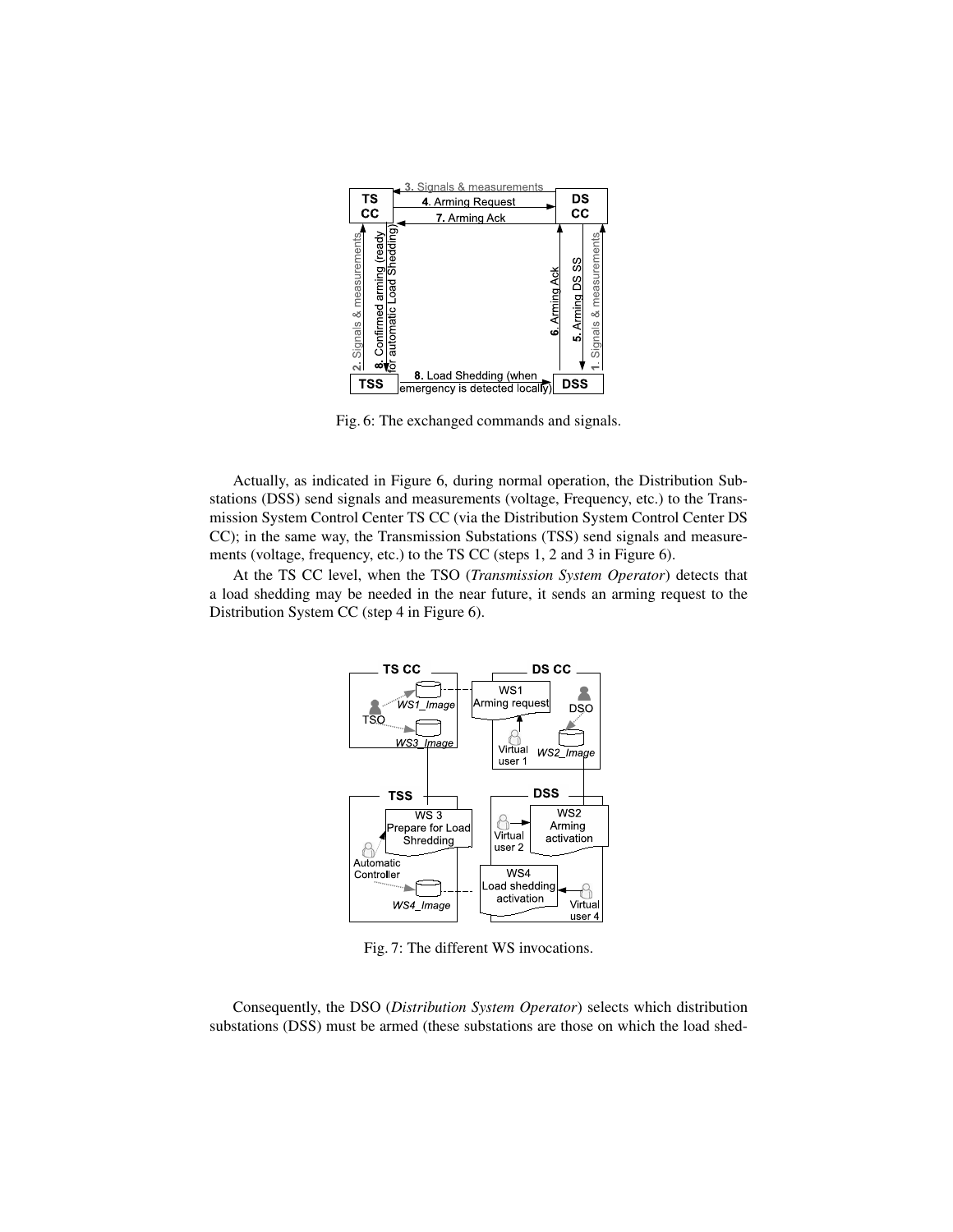

Fig. 6: The exchanged commands and signals.

Actually, as indicated in Figure 6, during normal operation, the Distribution Substations (DSS) send signals and measurements (voltage, Frequency, etc.) to the Transmission System Control Center TS CC (via the Distribution System Control Center DS CC); in the same way, the Transmission Substations (TSS) send signals and measurements (voltage, frequency, etc.) to the TS CC (steps 1, 2 and 3 in Figure 6).

At the TS CC level, when the TSO (*Transmission System Operator*) detects that a load shedding may be needed in the near future, it sends an arming request to the Distribution System CC (step 4 in Figure 6).



Fig. 7: The different WS invocations.

Consequently, the DSO (*Distribution System Operator*) selects which distribution substations (DSS) must be armed (these substations are those on which the load shed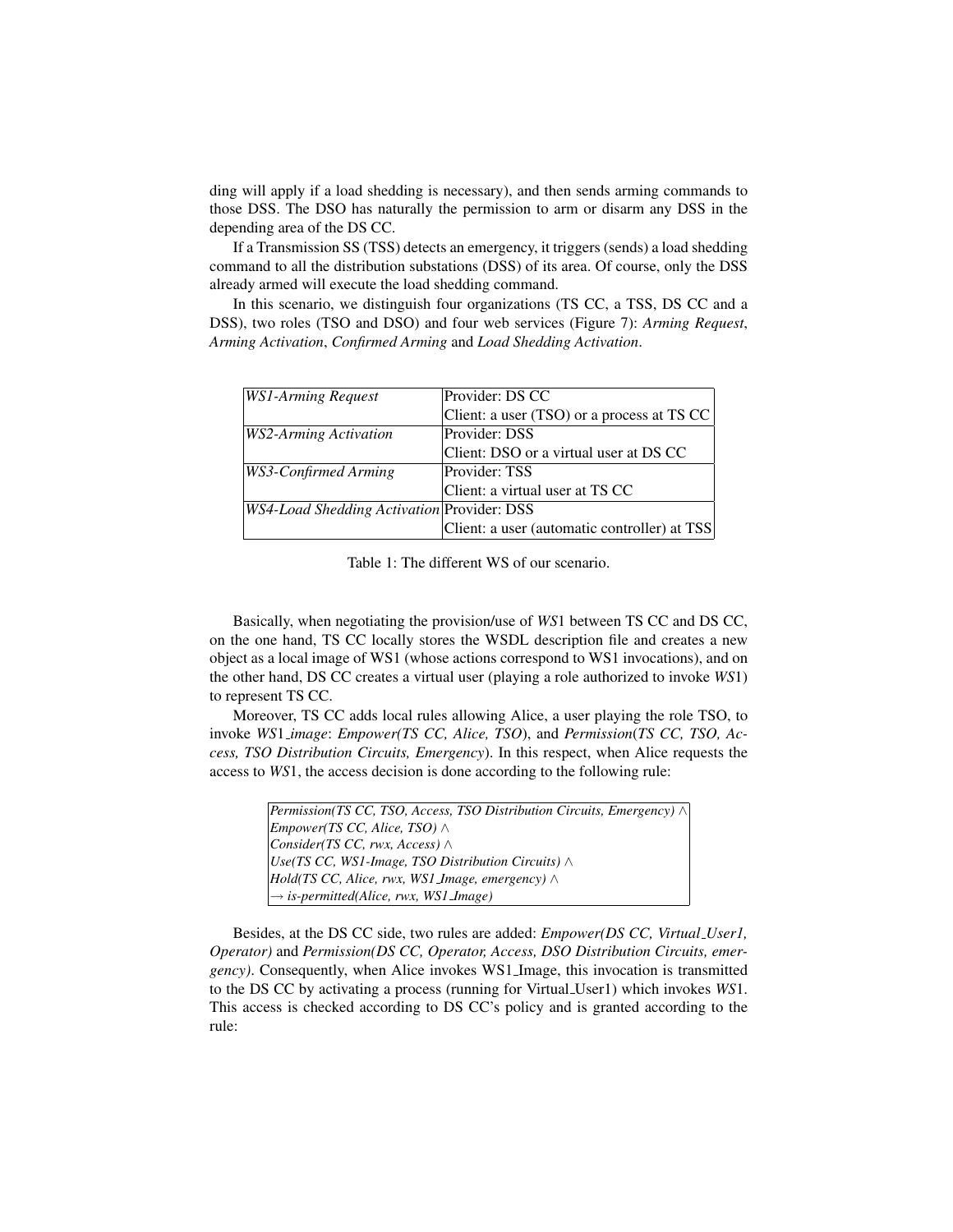ding will apply if a load shedding is necessary), and then sends arming commands to those DSS. The DSO has naturally the permission to arm or disarm any DSS in the depending area of the DS CC.

If a Transmission SS (TSS) detects an emergency, it triggers (sends) a load shedding command to all the distribution substations (DSS) of its area. Of course, only the DSS already armed will execute the load shedding command.

In this scenario, we distinguish four organizations (TS CC, a TSS, DS CC and a DSS), two roles (TSO and DSO) and four web services (Figure 7): *Arming Request*, *Arming Activation*, *Confirmed Arming* and *Load Shedding Activation*.

| <b>WS1-Arming Request</b>                  | Provider: DS CC                              |
|--------------------------------------------|----------------------------------------------|
|                                            | Client: a user (TSO) or a process at TS CC   |
| <b>WS2-Arming Activation</b>               | Provider: DSS                                |
|                                            | Client: DSO or a virtual user at DS CC       |
| WS3-Confirmed Arming                       | Provider: TSS                                |
|                                            | Client: a virtual user at TS CC              |
| WS4-Load Shedding Activation Provider: DSS |                                              |
|                                            | Client: a user (automatic controller) at TSS |

Table 1: The different WS of our scenario.

Basically, when negotiating the provision/use of *WS*1 between TS CC and DS CC, on the one hand, TS CC locally stores the WSDL description file and creates a new object as a local image of WS1 (whose actions correspond to WS1 invocations), and on the other hand, DS CC creates a virtual user (playing a role authorized to invoke *WS*1) to represent TS CC.

Moreover, TS CC adds local rules allowing Alice, a user playing the role TSO, to invoke *WS*1 *image*: *Empower(TS CC, Alice, TSO*), and *Permission*(*TS CC, TSO, Access, TSO Distribution Circuits, Emergency*). In this respect, when Alice requests the access to *WS*1, the access decision is done according to the following rule:

| $\langle Permission(TS CC, TSO, Access, TSO Distribution Circuits, Emergency \rangle \wedge$ |
|----------------------------------------------------------------------------------------------|
| <i>Empower(TS CC, Alice, TSO)</i> $\wedge$                                                   |
| $ Consider(TSCC, rwx, Access) \wedge$                                                        |
| $ Use(TS CC, WS1-Image, TSO Distribution Circuits) \wedge$                                   |
| $ Hold(TS CC, Alice, rwx, WS1 Image, emergency) \wedge$                                      |
| $\rightarrow$ is-permitted(Alice, rwx, WS1_Image)                                            |
|                                                                                              |

Besides, at the DS CC side, two rules are added: *Empower(DS CC, Virtual User1, Operator)* and *Permission(DS CC, Operator, Access, DSO Distribution Circuits, emergency)*. Consequently, when Alice invokes WS1 Image, this invocation is transmitted to the DS CC by activating a process (running for Virtual User1) which invokes *WS*1. This access is checked according to DS CC's policy and is granted according to the rule: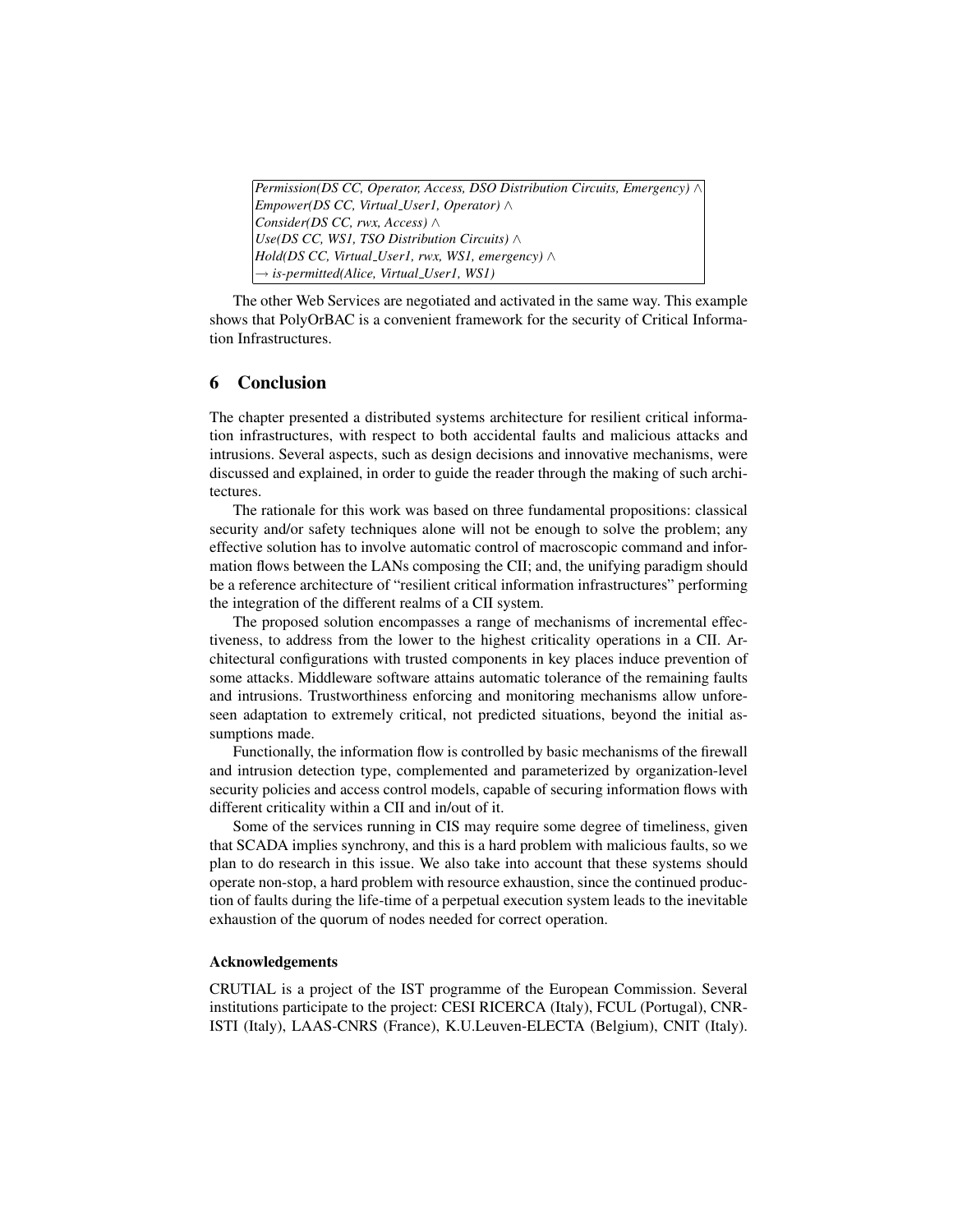```
Permission(DS CC, Operator, Access, DSO Distribution Circuits, Emergency) ∧
Empower(DS CC, Virtual User1, Operator) ∧
Consider(DS CC, rwx, Access) ∧
Use(DS CC, WS1, TSO Distribution Circuits) ∧
Hold(DS CC, Virtual User1, rwx, WS1, emergency) ∧
→ is-permitted(Alice, Virtual User1, WS1)
```
The other Web Services are negotiated and activated in the same way. This example shows that PolyOrBAC is a convenient framework for the security of Critical Information Infrastructures.

# 6 Conclusion

The chapter presented a distributed systems architecture for resilient critical information infrastructures, with respect to both accidental faults and malicious attacks and intrusions. Several aspects, such as design decisions and innovative mechanisms, were discussed and explained, in order to guide the reader through the making of such architectures.

The rationale for this work was based on three fundamental propositions: classical security and/or safety techniques alone will not be enough to solve the problem; any effective solution has to involve automatic control of macroscopic command and information flows between the LANs composing the CII; and, the unifying paradigm should be a reference architecture of "resilient critical information infrastructures" performing the integration of the different realms of a CII system.

The proposed solution encompasses a range of mechanisms of incremental effectiveness, to address from the lower to the highest criticality operations in a CII. Architectural configurations with trusted components in key places induce prevention of some attacks. Middleware software attains automatic tolerance of the remaining faults and intrusions. Trustworthiness enforcing and monitoring mechanisms allow unforeseen adaptation to extremely critical, not predicted situations, beyond the initial assumptions made.

Functionally, the information flow is controlled by basic mechanisms of the firewall and intrusion detection type, complemented and parameterized by organization-level security policies and access control models, capable of securing information flows with different criticality within a CII and in/out of it.

Some of the services running in CIS may require some degree of timeliness, given that SCADA implies synchrony, and this is a hard problem with malicious faults, so we plan to do research in this issue. We also take into account that these systems should operate non-stop, a hard problem with resource exhaustion, since the continued production of faults during the life-time of a perpetual execution system leads to the inevitable exhaustion of the quorum of nodes needed for correct operation.

## Acknowledgements

CRUTIAL is a project of the IST programme of the European Commission. Several institutions participate to the project: CESI RICERCA (Italy), FCUL (Portugal), CNR-ISTI (Italy), LAAS-CNRS (France), K.U.Leuven-ELECTA (Belgium), CNIT (Italy).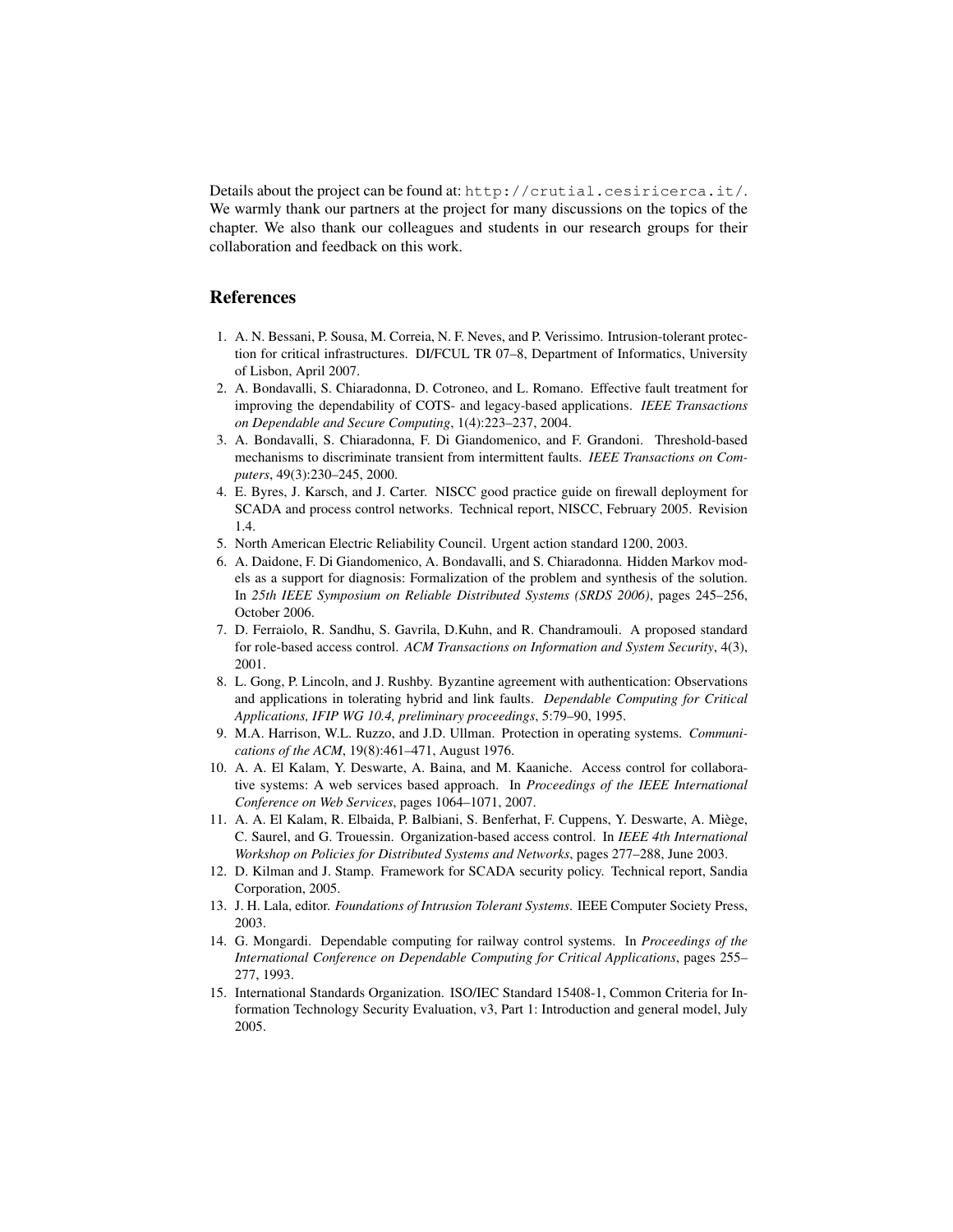Details about the project can be found at: http://crutial.cesiricerca.it/. We warmly thank our partners at the project for many discussions on the topics of the chapter. We also thank our colleagues and students in our research groups for their collaboration and feedback on this work.

## References

- 1. A. N. Bessani, P. Sousa, M. Correia, N. F. Neves, and P. Verissimo. Intrusion-tolerant protection for critical infrastructures. DI/FCUL TR 07–8, Department of Informatics, University of Lisbon, April 2007.
- 2. A. Bondavalli, S. Chiaradonna, D. Cotroneo, and L. Romano. Effective fault treatment for improving the dependability of COTS- and legacy-based applications. *IEEE Transactions on Dependable and Secure Computing*, 1(4):223–237, 2004.
- 3. A. Bondavalli, S. Chiaradonna, F. Di Giandomenico, and F. Grandoni. Threshold-based mechanisms to discriminate transient from intermittent faults. *IEEE Transactions on Computers*, 49(3):230–245, 2000.
- 4. E. Byres, J. Karsch, and J. Carter. NISCC good practice guide on firewall deployment for SCADA and process control networks. Technical report, NISCC, February 2005. Revision 1.4.
- 5. North American Electric Reliability Council. Urgent action standard 1200, 2003.
- 6. A. Daidone, F. Di Giandomenico, A. Bondavalli, and S. Chiaradonna. Hidden Markov models as a support for diagnosis: Formalization of the problem and synthesis of the solution. In *25th IEEE Symposium on Reliable Distributed Systems (SRDS 2006)*, pages 245–256, October 2006.
- 7. D. Ferraiolo, R. Sandhu, S. Gavrila, D.Kuhn, and R. Chandramouli. A proposed standard for role-based access control. *ACM Transactions on Information and System Security*, 4(3), 2001.
- 8. L. Gong, P. Lincoln, and J. Rushby. Byzantine agreement with authentication: Observations and applications in tolerating hybrid and link faults. *Dependable Computing for Critical Applications, IFIP WG 10.4, preliminary proceedings*, 5:79–90, 1995.
- 9. M.A. Harrison, W.L. Ruzzo, and J.D. Ullman. Protection in operating systems. *Communications of the ACM*, 19(8):461–471, August 1976.
- 10. A. A. El Kalam, Y. Deswarte, A. Baina, and M. Kaaniche. Access control for collaborative systems: A web services based approach. In *Proceedings of the IEEE International Conference on Web Services*, pages 1064–1071, 2007.
- 11. A. A. El Kalam, R. Elbaida, P. Balbiani, S. Benferhat, F. Cuppens, Y. Deswarte, A. Miege, ` C. Saurel, and G. Trouessin. Organization-based access control. In *IEEE 4th International Workshop on Policies for Distributed Systems and Networks*, pages 277–288, June 2003.
- 12. D. Kilman and J. Stamp. Framework for SCADA security policy. Technical report, Sandia Corporation, 2005.
- 13. J. H. Lala, editor. *Foundations of Intrusion Tolerant Systems*. IEEE Computer Society Press, 2003.
- 14. G. Mongardi. Dependable computing for railway control systems. In *Proceedings of the International Conference on Dependable Computing for Critical Applications*, pages 255– 277, 1993.
- 15. International Standards Organization. ISO/IEC Standard 15408-1, Common Criteria for Information Technology Security Evaluation, v3, Part 1: Introduction and general model, July 2005.